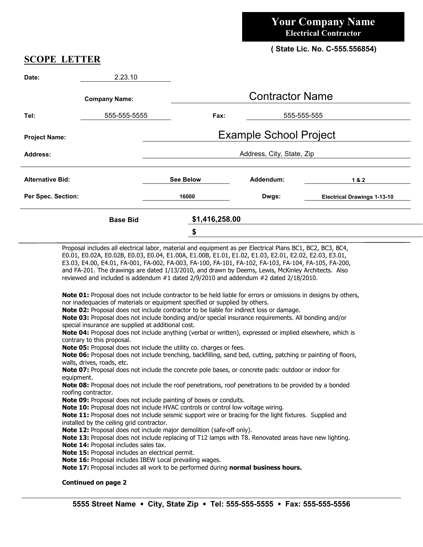## **( State Lic. No. C-555.556854)**

| <b>SCOPE LETTER</b> |
|---------------------|

| Date:                   | 2.23.10              |                                                                                                            |                        |                                    |  |  |
|-------------------------|----------------------|------------------------------------------------------------------------------------------------------------|------------------------|------------------------------------|--|--|
|                         | <b>Company Name:</b> |                                                                                                            | <b>Contractor Name</b> |                                    |  |  |
| Tel:                    | 555-555-5555         | Fax:                                                                                                       |                        | 555-555-555                        |  |  |
| <b>Project Name:</b>    |                      | <b>Example School Project</b>                                                                              |                        |                                    |  |  |
| <b>Address:</b>         |                      | Address, City, State, Zip                                                                                  |                        |                                    |  |  |
| <b>Alternative Bid:</b> |                      | <b>See Below</b>                                                                                           | Addendum:              | 1&2                                |  |  |
| Per Spec. Section:      |                      | 16000                                                                                                      | Dwgs:                  | <b>Electrical Drawings 1-13-10</b> |  |  |
|                         | <b>Base Bid</b>      | \$1,416,258.00                                                                                             |                        |                                    |  |  |
|                         |                      | S                                                                                                          |                        |                                    |  |  |
|                         |                      | Proposal includes all electrical labor, material and equipment as per Electrical Plans BC1, BC2, BC3, BC4, |                        |                                    |  |  |

E0.01, E0.02A, E0.02B, E0.03, E0.04, E1.00A, E1.00B, E1.01, E1.02, E1.03, E2.01, E2.02, E2.03, E3.01, E3.03, E4.00, E4.01, FA-001, FA-002, FA-003, FA-100, FA-101, FA-102, FA-103, FA-104, FA-105, FA-200, and FA-201. The drawings are dated 1/13/2010, and drawn by Deems, Lewis, McKinley Architects. Also reviewed and included is addendum #1 dated 2/9/2010 and addendum #2 dated 2/18/2010.

**Note 01:** Proposal does not include contractor to be held liable for errors or omissions in designs by others, nor inadequacies of materials or equipment specified or supplied by others.

**Note 02:** Proposal does not include contractor to be liable for indirect loss or damage.

**Note 03:** Proposal does not include bonding and/or special insurance requirements. All bonding and/or special insurance are supplied at additional cost.

**Note 04:** Proposal does not include anything (verbal or written), expressed or implied elsewhere, which is contrary to this proposal.

**Note 05:** Proposal does not include the utility co. charges or fees.

**Note 06:** Proposal does not include trenching, backfilling, sand bed, cutting, patching or painting of floors, walls, drives, roads, etc.

**Note 07:** Proposal does not include the concrete pole bases, or concrete pads: outdoor or indoor for equipment.

**Note 08:** Proposal does not include the roof penetrations, roof penetrations to be provided by a bonded roofing contractor.

**Note 09:** Proposal does not include painting of boxes or conduits.

**Note 10:** Proposal does not include HVAC controls or control low voltage wiring.

**Note 11:** Proposal does not include seismic support wire or bracing for the light fixtures. Supplied and installed by the ceiling grid contractor.

**Note 12:** Proposal does not include major demolition (safe-off only).

**Note 13:** Proposal does not include replacing of T12 lamps with T8. Renovated areas have new lighting.

**Note 14:** Proposal includes sales tax.

**Note 15:** Proposal includes an electrical permit.

**Note 16:** Proposal includes IBEW Local prevailing wages.

**Note 17:** Proposal includes all work to be performed during **normal business hours.** 

#### **Continued on page 2**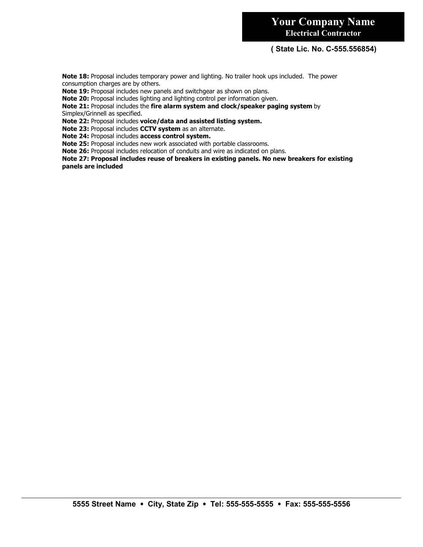# **( State Lic. No. C-555.556854)**

**Note 18:** Proposal includes temporary power and lighting. No trailer hook ups included. The power consumption charges are by others.

**Note 19:** Proposal includes new panels and switchgear as shown on plans.

**Note 20:** Proposal includes lighting and lighting control per information given.

**Note 21:** Proposal includes the **fire alarm system and clock/speaker paging system** by Simplex/Grinnell as specified.

**Note 22:** Proposal includes **voice/data and assisted listing system.**

**Note 23:** Proposal includes **CCTV system** as an alternate.

**Note 24:** Proposal includes **access control system.**

**Note 25:** Proposal includes new work associated with portable classrooms.

**Note 26:** Proposal includes relocation of conduits and wire as indicated on plans.

**Note 27: Proposal includes reuse of breakers in existing panels. No new breakers for existing panels are included**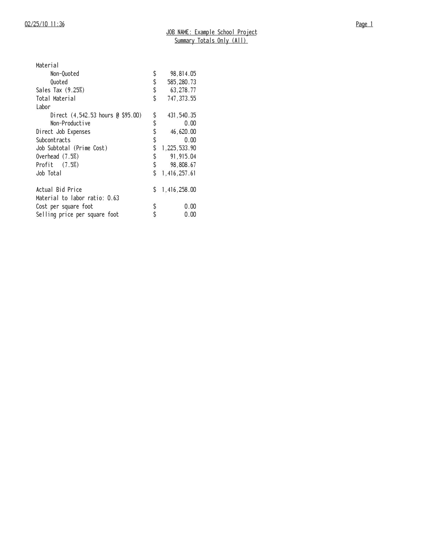| Material                          |      |              |
|-----------------------------------|------|--------------|
| Non-Ouoted                        | \$   | 98,814.05    |
| Ouoted                            |      | 585, 280.73  |
| Sales Tax (9.25%)                 | \$\$ | 63,278.77    |
| Total Material                    |      | 747, 373.55  |
| Labor                             |      |              |
| Direct (4,542.53 hours @ \$95.00) | \$   | 431, 540. 35 |
| Non-Productive                    | \$   | 0.00         |
| Direct Job Expenses               | \$   | 46,620.00    |
| Subcontracts                      |      | 0.00         |
| Job Subtotal (Prime Cost)         | \$   | 1,225,533.90 |
| Overhead (7.5%)                   | \$   | 91, 915.04   |
| Profit $(7.5%)$                   | \$   | 98,808.67    |
| Job Total                         | \$   | 1,416,257.61 |
| Actual Bid Price                  | \$   | 1,416,258.00 |
| Material to labor ratio: 0.63     |      |              |
| Cost per square foot              | \$   | 0.00         |
| Selling price per square foot     | \$   | 0.00         |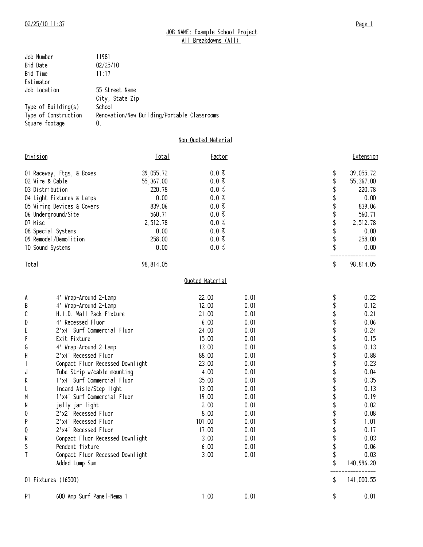### JOB NAME: Example School Project All Breakdowns (All)

| Job Number             | 11981                                       |
|------------------------|---------------------------------------------|
| Bid Date               | 02/25/10                                    |
| Bid Time               | 11:17                                       |
| Estimator              |                                             |
| Job Location           | 55 Street Name                              |
|                        | City, State Zip                             |
| Type of Building $(s)$ | School                                      |
| Type of Construction   | Renovation/New Building/Portable Classrooms |
| Square footage         | 0.                                          |
|                        |                                             |
|                        | Non-Quoted Material                         |

| Division                                                                                                                |                                                                                                                                                                                                                                                                                                                                                                                                                                                                                                                                                   | Total                                                                                              | Factor                                                                                                                                                                     |                                                                                                                                                              |                                                                               | Extension                                                                                                                                                    |
|-------------------------------------------------------------------------------------------------------------------------|---------------------------------------------------------------------------------------------------------------------------------------------------------------------------------------------------------------------------------------------------------------------------------------------------------------------------------------------------------------------------------------------------------------------------------------------------------------------------------------------------------------------------------------------------|----------------------------------------------------------------------------------------------------|----------------------------------------------------------------------------------------------------------------------------------------------------------------------------|--------------------------------------------------------------------------------------------------------------------------------------------------------------|-------------------------------------------------------------------------------|--------------------------------------------------------------------------------------------------------------------------------------------------------------|
| 07 Misc                                                                                                                 | 01 Raceway, Ftgs, & Boxes<br>02 Wire & Cable<br>03 Distribution<br>04 Light Fixtures & Lamps<br>05 Wiring Devices & Covers<br>06 Underground/Site<br>08 Special Systems<br>09 Remodel/Demolition<br>10 Sound Systems                                                                                                                                                                                                                                                                                                                              | 39,055.72<br>55,367.00<br>220.78<br>0.00<br>839.06<br>560.71<br>2,512.78<br>0.00<br>258.00<br>0.00 | 0.0%<br>0.0%<br>0.0%<br>0.0%<br>0.0%<br>0.0%<br>0.0%<br>0.0%<br>$0.0\%$<br>0.0%                                                                                            |                                                                                                                                                              | \$<br>\$<br>\$<br>\$<br>\$<br>\$<br>\$<br>\$<br>\$<br>\$                      | 39,055.72<br>55,367.00<br>220.78<br>0.00<br>839.06<br>560.71<br>2,512.78<br>0.00<br>258.00<br>0.00                                                           |
| Total                                                                                                                   |                                                                                                                                                                                                                                                                                                                                                                                                                                                                                                                                                   | 98,814.05                                                                                          |                                                                                                                                                                            |                                                                                                                                                              | \$                                                                            | 98,814.05                                                                                                                                                    |
|                                                                                                                         |                                                                                                                                                                                                                                                                                                                                                                                                                                                                                                                                                   |                                                                                                    | Quoted Material                                                                                                                                                            |                                                                                                                                                              |                                                                               |                                                                                                                                                              |
| A<br>B<br>С<br>D<br>E<br>F<br>G<br>H<br>$\overline{\phantom{a}}$<br>J<br>K<br>L<br>М<br>N<br>0<br>P<br>Q<br>R<br>S<br>Τ | 4' Wrap-Around 2-Lamp<br>4' Wrap-Around 2-Lamp<br>H.I.D. Wall Pack Fixture<br>4' Recessed Fluor<br>2'x4' Surf Commercial Fluor<br>Exit Fixture<br>4' Wrap-Around 2-Lamp<br>2'x4' Recessed Fluor<br>Conpact Fluor Recessed Downlight<br>Tube Strip w/cable mounting<br>1'x4' Surf Commercial Fluor<br>Incand Aisle/Step light<br>1'x4' Surf Commercial Fluor<br>jelly jar light<br>2'x2' Recessed Fluor<br>2'x4' Recessed Fluor<br>2'x4' Recessed Fluor<br>Conpact Fluor Recessed Downlight<br>Pendent fixture<br>Conpact Fluor Recessed Downlight |                                                                                                    | 22.00<br>12.00<br>21.00<br>6.00<br>24.00<br>15.00<br>13.00<br>88.00<br>23.00<br>4.00<br>35.00<br>13.00<br>19.00<br>2.00<br>8.00<br>101.00<br>17.00<br>3.00<br>6.00<br>3.00 | 0.01<br>0.01<br>0.01<br>0.01<br>0.01<br>0.01<br>0.01<br>0.01<br>0.01<br>0.01<br>0.01<br>0.01<br>0.01<br>0.01<br>0.01<br>0.01<br>0.01<br>0.01<br>0.01<br>0.01 | \$<br>\$<br>\$<br>\$<br>\$<br>\$<br>\$<br>きますます<br>\$<br>\$<br>\$<br>\$<br>\$ | 0.22<br>0.12<br>0.21<br>0.06<br>0.24<br>0.15<br>0.13<br>0.88<br>0.23<br>0.04<br>0.35<br>0.13<br>0.19<br>0.02<br>0.08<br>1.01<br>0.17<br>0.03<br>0.06<br>0.03 |
|                                                                                                                         | Added Lump Sum                                                                                                                                                                                                                                                                                                                                                                                                                                                                                                                                    |                                                                                                    |                                                                                                                                                                            |                                                                                                                                                              | \$                                                                            | 140,996.20                                                                                                                                                   |
|                                                                                                                         | 01 Fixtures (16500)                                                                                                                                                                                                                                                                                                                                                                                                                                                                                                                               |                                                                                                    |                                                                                                                                                                            |                                                                                                                                                              | \$                                                                            | 141,000.55                                                                                                                                                   |
| P1                                                                                                                      | 600 Amp Surf Panel-Nema 1                                                                                                                                                                                                                                                                                                                                                                                                                                                                                                                         |                                                                                                    | 1.00                                                                                                                                                                       | 0.01                                                                                                                                                         | \$                                                                            | 0.01                                                                                                                                                         |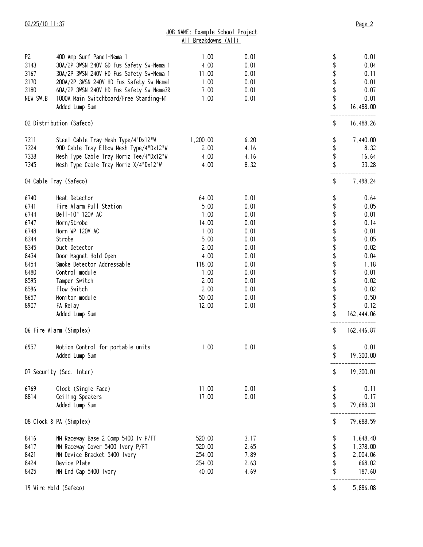| <u> JOB NAME: Example School Project</u> |                      |  |  |  |
|------------------------------------------|----------------------|--|--|--|
|                                          | All Breakdowns (All) |  |  |  |

| P <sub>2</sub> | 400 Amp Surf Panel-Nema 1                | 1.00     | 0.01 |                                      | 0.01        |
|----------------|------------------------------------------|----------|------|--------------------------------------|-------------|
| 3143           | 30A/2P 3WSN 240V GD Fus Safety Sw-Nema 1 | 4.00     | 0.01 |                                      | 0.04        |
| 3167           | 30A/2P 3WSN 240V HD Fus Safety Sw-Nema 1 | 11.00    | 0.01 |                                      | 0.11        |
| 3170           | 200A/2P 3WSN 240V HD Fus Safety Sw-Nemal | 1.00     | 0.01 | もきますま                                | 0.01        |
| 3180           | 60A/2P 3WSN 240V HD Fus Safety Sw-Nema3R | 7.00     | 0.01 |                                      | 0.07        |
|                |                                          |          |      |                                      |             |
| NEW SW.B       | 1000A Main Switchboard/Free Standing-N1  | 1.00     | 0.01 |                                      | 0.01        |
|                | Added Lump Sum                           |          |      | \$                                   | 16,488.00   |
|                | 02 Distribution (Safeco)                 |          |      | \$                                   | 16,488.26   |
| 7311           | Steel Cable Tray-Mesh Type/4"Dx12"W      | 1,200.00 | 6.20 |                                      | 7,440.00    |
| 7324           | 90D Cable Tray Elbow-Mesh Type/4"Dx12"W  | 2.00     | 4.16 |                                      | 8.32        |
| 7338           | Mesh Type Cable Tray Horiz Tee/4"Dx12"W  | 4.00     | 4.16 |                                      | 16.64       |
| 7345           |                                          | 4.00     | 8.32 | \$\$\$\$                             | 33.28       |
|                | Mesh Type Cable Tray Horiz X/4"Dx12"W    |          |      |                                      |             |
|                | 04 Cable Tray (Safeco)                   |          |      | \$                                   | 7,498.24    |
| 6740           | Heat Detector                            | 64.00    | 0.01 |                                      | 0.64        |
| 6741           | Fire Alarm Pull Station                  | 5.00     | 0.01 | \$\$\$\$\$\$\$\$\$\$\$\$\$\$\$\$\$\$ | 0.05        |
| 6744           | Bell-10" 120V AC                         | 1.00     | 0.01 |                                      | 0.01        |
| 6747           | Horn/Strobe                              | 14.00    | 0.01 |                                      | 0.14        |
| 6748           | Horn WP 120V AC                          | 1.00     | 0.01 |                                      | 0.01        |
|                | Strobe                                   |          | 0.01 |                                      |             |
| 8344           |                                          | 5.00     |      |                                      | 0.05        |
| 8345           | Duct Detector                            | 2.00     | 0.01 |                                      | 0.02        |
| 8434           | Door Magnet Hold Open                    | 4.00     | 0.01 |                                      | 0.04        |
| 8454           | Smoke Detector Addressable               | 118.00   | 0.01 |                                      | 1.18        |
| 8480           | Control module                           | 1.00     | 0.01 |                                      | 0.01        |
| 8595           | Tamper Switch                            | 2.00     | 0.01 |                                      | 0.02        |
| 8596           | Flow Switch                              | 2.00     | 0.01 |                                      | 0.02        |
| 8657           | Monitor module                           | 50.00    | 0.01 |                                      | 0.50        |
| 8907           | FA Relay                                 | 12.00    | 0.01 |                                      | 0.12        |
|                | Added Lump Sum                           |          |      | \$                                   | 162, 444.06 |
|                | 06 Fire Alarm (Simplex)                  |          |      | \$                                   | 162, 446.87 |
|                |                                          |          |      |                                      |             |
| 6957           | Motion Control for portable units        | 1.00     | 0.01 | \$                                   | 0.01        |
|                | Added Lump Sum                           |          |      | \$                                   | 19,300.00   |
|                | 07 Security (Sec. Inter)                 |          |      | \$                                   | 19,300.01   |
| 6769           | Clock (Single Face)                      | 11.00    | 0.01 |                                      | 0.11        |
| 8814           | Ceiling Speakers                         | 17.00    | 0.01 | \$<br>\$                             | 0.17        |
|                |                                          |          |      |                                      |             |
|                | Added Lump Sum                           |          |      | \$                                   | 79,688.31   |
|                | 08 Clock & PA (Simplex)                  |          |      | \$                                   | 79,688.59   |
| 8416           | NM Raceway Base 2 Comp 5400 Iv P/FT      | 520.00   | 3.17 | \$                                   | 1,648.40    |
| 8417           | NM Raceway Cover 5400 Ivory P/FT         | 520.00   | 2.65 |                                      | 1,378.00    |
| 8421           | NM Device Bracket 5400 Ivory             | 254.00   | 7.89 |                                      | 2,004.06    |
| 8424           | Device Plate                             | 254.00   | 2.63 |                                      | 668.02      |
| 8425           | NM End Cap 5400 Ivory                    | 40.00    | 4.69 | \$\$\$                               | 187.60      |
|                |                                          |          |      |                                      |             |
|                | 19 Wire Mold (Safeco)                    |          |      | \$                                   | 5,886.08    |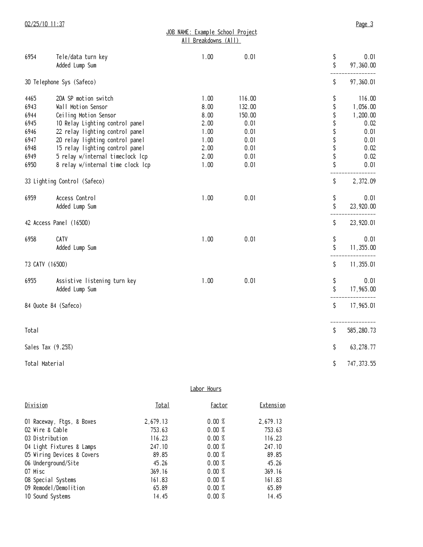|  | JOB NAME: Example School Project |  |
|--|----------------------------------|--|
|  | All Breakdowns (All)             |  |

| 6954                                                 | Tele/data turn key<br>Added Lump Sum                                                                                                                                                                            | 1.00                                                 | 0.01                                                       | \$<br>\$                 | 0.01<br>97,360.00                                              |
|------------------------------------------------------|-----------------------------------------------------------------------------------------------------------------------------------------------------------------------------------------------------------------|------------------------------------------------------|------------------------------------------------------------|--------------------------|----------------------------------------------------------------|
|                                                      | 30 Telephone Sys (Safeco)                                                                                                                                                                                       |                                                      |                                                            | \$                       | 97,360.01                                                      |
| 4465<br>6943<br>6944<br>6945<br>6946<br>6947<br>6948 | 20A SP motion switch<br>Wall Motion Sensor<br>Ceiling Motion Sensor<br>10 Relay Lighting control panel<br>22 relay lighting control panel<br>20 relay lighting control panel<br>15 relay lighting control panel | 1.00<br>8.00<br>8.00<br>2.00<br>1.00<br>1.00<br>2.00 | 116.00<br>132.00<br>150.00<br>0.01<br>0.01<br>0.01<br>0.01 | \$<br>\$\$\$\$\$\$\$\$\$ | 116.00<br>1,056.00<br>1,200.00<br>0.02<br>0.01<br>0.01<br>0.02 |
| 6949<br>6950                                         | 5 relay w/internal timeclock lcp<br>8 relay w/internal time clock lcp                                                                                                                                           | 2.00<br>1.00                                         | 0.01<br>0.01                                               |                          | 0.02<br>0.01                                                   |
|                                                      | 33 Lighting Control (Safeco)                                                                                                                                                                                    |                                                      |                                                            | \$                       | 2,372.09                                                       |
| 6959                                                 | Access Control<br>Added Lump Sum                                                                                                                                                                                | 1.00                                                 | 0.01                                                       | \$<br>\$                 | 0.01<br>23,920.00                                              |
|                                                      | 42 Access Panel (16500)                                                                                                                                                                                         |                                                      |                                                            | \$                       | 23,920.01                                                      |
| 6958                                                 | CATV<br>Added Lump Sum                                                                                                                                                                                          | 1.00                                                 | 0.01                                                       | \$<br>\$                 | 0.01<br>11,355.00                                              |
| 73 CATV (16500)                                      |                                                                                                                                                                                                                 |                                                      |                                                            | \$                       | 11,355.01                                                      |
| 6955                                                 | Assistive listening turn key<br>Added Lump Sum                                                                                                                                                                  | 1.00                                                 | 0.01                                                       | \$<br>\$                 | 0.01<br>17,965.00                                              |
|                                                      | 84 Quote 84 (Safeco)                                                                                                                                                                                            |                                                      |                                                            | \$                       | 17,965.01                                                      |
| Total                                                |                                                                                                                                                                                                                 |                                                      |                                                            | \$                       | 585, 280.73                                                    |
|                                                      | Sales Tax (9.25%)                                                                                                                                                                                               |                                                      |                                                            | \$                       | 63, 278.77                                                     |
| Total Material                                       |                                                                                                                                                                                                                 |                                                      |                                                            | \$                       | 747, 373.55                                                    |

Labor Hours

| Division                   | Total    | Factor | Extension |
|----------------------------|----------|--------|-----------|
| 01 Raceway, Ftgs, & Boxes  | 2,679.13 | 0.00%  | 2,679.13  |
| 02 Wire & Cable            | 753.63   | 0.00%  | 753.63    |
| 03 Distribution            | 116.23   | 0.00%  | 116.23    |
| 04 Light Fixtures & Lamps  | 247.10   | 0.00%  | 247.10    |
| 05 Wiring Devices & Covers | 89.85    | 0.00%  | 89.85     |
| 06 Underground/Site        | 45.26    | 0.00%  | 45.26     |
| 07 Misc                    | 369.16   | 0.00%  | 369.16    |
| 08 Special Systems         | 161.83   | 0.00%  | 161.83    |
| 09 Remodel/Demolition      | 65.89    | 0.00%  | 65.89     |
| 10 Sound Systems           | 14.45    | 0.00%  | 14.45     |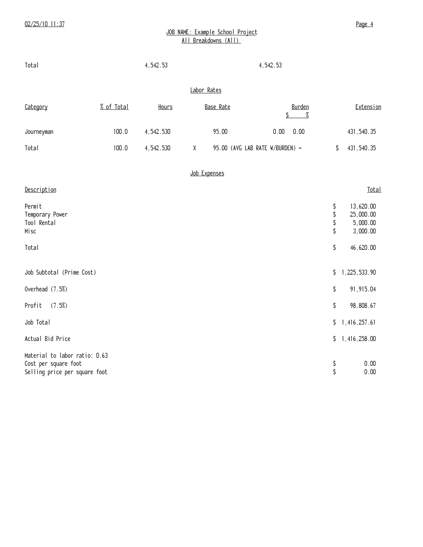### JOB NAME: Example School Project All Breakdowns (All)

| Total                                                                                  |                              | 4,542.53  |                                                     |              | 4,542.53                        |                      |                                                             |
|----------------------------------------------------------------------------------------|------------------------------|-----------|-----------------------------------------------------|--------------|---------------------------------|----------------------|-------------------------------------------------------------|
|                                                                                        |                              |           | Labor Rates                                         |              |                                 |                      |                                                             |
| Category                                                                               | <b><u>&amp; of Total</u></b> | Hours     |                                                     | Base Rate    | Burden<br>$\frac{9}{6}$<br>\$   |                      | Extension                                                   |
| Journeyman                                                                             | 100.0                        | 4,542.530 |                                                     | 95.00        | 0.00<br>0.00                    |                      | 431, 540.35                                                 |
| Total                                                                                  | 100.0                        | 4,542.530 | $\mathsf{X}% _{0}^{\prime}=\mathsf{X}_{0}^{\prime}$ |              | 95.00 (AVG LAB RATE W/BURDEN) = | \$                   | 431, 540.35                                                 |
|                                                                                        |                              |           |                                                     | Job Expenses |                                 |                      |                                                             |
| Description                                                                            |                              |           |                                                     |              |                                 |                      | Total                                                       |
| Permit<br>Temporary Power<br>Tool Rental<br>Misc<br>Total                              |                              |           |                                                     |              |                                 | \$<br>\$<br>\$<br>\$ | 13,620.00<br>25,000.00<br>5,000.00<br>3,000.00<br>46,620.00 |
| Job Subtotal (Prime Cost)                                                              |                              |           |                                                     |              |                                 | \$                   | 1,225,533.90                                                |
| Overhead (7.5%)                                                                        |                              |           |                                                     |              |                                 | \$                   | 91,915.04                                                   |
| Profit<br>(7.5%)                                                                       |                              |           |                                                     |              |                                 | \$                   | 98,808.67                                                   |
| Job Total                                                                              |                              |           |                                                     |              |                                 | \$                   | 1,416,257.61                                                |
| Actual Bid Price                                                                       |                              |           |                                                     |              |                                 | \$                   | 1,416,258.00                                                |
| Material to labor ratio: 0.63<br>Cost per square foot<br>Selling price per square foot |                              |           |                                                     |              |                                 | \$<br>\$             | 0.00<br>0.00                                                |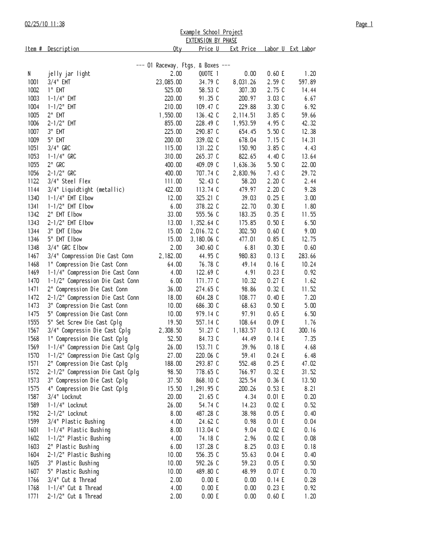|      | Example School Project           |           |                                   |                                     |        |        |  |
|------|----------------------------------|-----------|-----------------------------------|-------------------------------------|--------|--------|--|
|      |                                  |           | <b>EXTENSION BY PHASE</b>         |                                     |        |        |  |
|      | Item # Description               | Qty       |                                   | Price U Ext Price Labor U Ext Labor |        |        |  |
|      |                                  |           |                                   |                                     |        |        |  |
|      |                                  |           | --- 01 Raceway, Ftgs, & Boxes --- |                                     |        |        |  |
| N    | jelly jar light                  | 2.00      | QUOTE 1                           | 0.00                                | 0.60 E | 1.20   |  |
| 1001 | $3/4"$ EMT                       | 23,085.00 | 34.79 C                           | 8,031.26                            | 2.59C  | 597.89 |  |
| 1002 | 1" EMT                           | 525.00    | 58.53 C                           | 307.30                              | 2.75C  | 14.44  |  |
| 1003 | $1 - 1/4"$ EMT                   | 220.00    | 91.35C                            | 200.97                              | 3.03C  | 6.67   |  |
| 1004 | $1 - 1/2"$ EMT                   | 210.00    | 109.47C                           | 229.88                              | 3.30C  | 6.92   |  |
| 1005 | 2" EMT                           | 1,550.00  | 136.42 C                          | 2, 114.51                           | 3.85C  | 59.66  |  |
| 1006 | $2 - 1/2"$ EMT                   | 855.00    | 228.49 C                          | 1,953.59                            | 4.95 C | 42.32  |  |
| 1007 | 3" EMT                           | 225.00    | 290.87 C                          | 654.45                              | 5.50C  | 12.38  |  |
| 1009 | 5" EMT                           | 200.00    | 339.02 C                          | 678.04                              | 7.15C  | 14.31  |  |
| 1051 | $3/4"$ GRC                       | 115.00    | 131.22 C                          | 150.90                              | 3.85C  | 4.43   |  |
| 1053 | $1 - 1/4"$ GRC                   | 310.00    | 265.37 C                          | 822.65                              | 4.40 C | 13.64  |  |
| 1055 | $2"$ GRC                         | 400.00    | 409.09 C                          | 1,636.36                            | 5.50C  | 22.00  |  |
| 1056 | $2 - 1/2"$ GRC                   | 400.00    | 707.74 C                          | 2,830.96                            | 7.43C  | 29.72  |  |
| 1122 | 3/4" Steel Flex                  | 111.00    | 52.43 C                           | 58.20                               | 2.20C  | 2.44   |  |
| 1144 | 3/4" Liquidtight (metallic)      | 422.00    | 113.74 C                          | 479.97                              | 2.20C  | 9.28   |  |
| 1340 | $1-1/4"$ EMT Elbow               | 12.00     | 325.21 C                          | 39.03                               | 0.25 E | 3.00   |  |
| 1341 | 1-1/2" EMT Elbow                 | $6.00$    | 378.22 C                          | 22.70                               | 0.30 E | 1.80   |  |
| 1342 | 2" EMT Elbow                     | 33.00     | 555.56 C                          | 183.35                              | 0.35 E | 11.55  |  |
| 1343 | 2-1/2" EMT Elbow                 | 13.00     | 1,352.64 C                        | 175.85                              | 0.50 E | 6.50   |  |
| 1344 | 3" EMT Elbow                     | 15.00     | 2,016.72 C                        | 302.50                              | 0.60 E | 9.00   |  |
| 1346 | 5" EMT Elbow                     | 15.00     | $3,180.06$ C                      | 477.01                              | 0.85 E | 12.75  |  |
| 1348 | 3/4" GRC Elbow                   | 2.00      | 340.60 C                          | 6.81                                | 0.30 E | 0.60   |  |
| 1467 | 3/4" Compression Die Cast Conn   | 2,182.00  | 44.95 C                           | 980.83                              | 0.13 E | 283.66 |  |
| 1468 | 1" Compression Die Cast Conn     | 64.00     | 76.78 C                           | 49.14                               | 0.16 E | 10.24  |  |
| 1469 | 1-1/4" Compression Die Cast Conn | 4.00      | 122.69 C                          | 4.91                                | 0.23 E | 0.92   |  |
| 1470 | 1-1/2" Compression Die Cast Conn | 6.00      | 171.77 C                          | 10.32                               | 0.27 E | 1.62   |  |
| 1471 | 2" Compression Die Cast Conn     | 36.00     | 274.65 C                          | 98.86                               | 0.32 E | 11.52  |  |
| 1472 | 2-1/2" Compression Die Cast Conn | 18.00     | 604.28 C                          | 108.77                              | 0.40 E | 7.20   |  |
| 1473 | 3" Compression Die Cast Conn     | 10.00     | 686.30 C                          | 68.63                               | 0.50 E | 5.00   |  |
| 1475 | 5" Compression Die Cast Conn     | 10.00     | 979.14 C                          | 97.91                               | 0.65 E | 6.50   |  |
| 1555 | 5" Set Screw Die Cast Cplq       | 19.50     | 557.14 C                          | 108.64                              | 0.09 E | 1.76   |  |
| 1567 | 3/4" Compressin Die Cast Cplq    | 2,308.50  | 51.27 C                           | 1,183.57                            | 0.13 E | 300.16 |  |
| 1568 | 1" Compression Die Cast Cplq     | 52.50     | 84.73 C                           | 44.49                               | 0.14 E | 7.35   |  |
| 1569 | 1-1/4" Compression Die Cast Cplq | 26.00     | 153.71 C                          | 39.96                               | 0.18 E | 4.68   |  |
| 1570 | 1-1/2" Compression Die Cast Cplq | 27.00     | 220.06 C                          | 59.41                               | 0.24 E | 6.48   |  |
| 1571 | 2" Compression Die Cast Cplq     | 188.00    | 293.87 C                          | 552.48                              | 0.25 E | 47.02  |  |
| 1572 | 2-1/2" Compression Die Cast Cplq | 98.50     | 778.65 C                          | 766.97                              | 0.32 E | 31.52  |  |
| 1573 | 3" Compression Die Cast Cplq     | 37.50     | 868.10 C                          | 325.54                              | 0.36 E | 13.50  |  |
| 1575 | 4" Compression Die Cast Cplq     | 15.50     | 1,291.95 C                        | 200.26                              | 0.53 E | 8.21   |  |
| 1587 | 3/4" Locknut                     | 20.00     | 21.65C                            | 4.34                                | 0.01 E | 0.20   |  |
| 1589 | $1-1/4"$ Locknut                 | 26.00     | 54.74 C                           | 14.23                               | 0.02 E | 0.52   |  |
| 1592 | 2-1/2" Locknut                   | 8.00      | 487.28 C                          | 38.98                               | 0.05 E | 0.40   |  |
| 1599 | 3/4" Plastic Bushing             | 4.00      | 24.62 C                           | 0.98                                | 0.01 E | 0.04   |  |
| 1601 | 1-1/4" Plastic Bushing           | 8.00      | 113.04 C                          | 9.04                                | 0.02 E | 0.16   |  |
| 1602 | 1-1/2" Plastic Bushing           | 4.00      | 74.18 C                           | 2.96                                | 0.02 E | 0.08   |  |
| 1603 | 2" Plastic Bushing               | $6.00$    | 137.28 C                          | 8.25                                | 0.03 E | 0.18   |  |
| 1604 | 2-1/2" Plastic Bushing           | 10.00     | 556.35 C                          | 55.63                               | 0.04 E | 0.40   |  |
| 1605 | 3" Plastic Bushing               | 10.00     | 592.26 C                          | 59.23                               | 0.05 E | 0.50   |  |
| 1607 | 5" Plastic Bushing               | 10.00     | 489.80 C                          | 48.99                               | 0.07 E | 0.70   |  |
| 1766 | 3/4" Cut & Thread                | 2.00      | 0.00 E                            | 0.00                                | 0.14 E | 0.28   |  |
| 1768 | $1-1/4"$ Cut & Thread            | 4.00      | 0.00 E                            | 0.00                                | 0.23 E | 0.92   |  |
| 1771 | 2-1/2" Cut & Thread              | 2.00      | 0.00 E                            | 0.00                                | 0.60 E | 1.20   |  |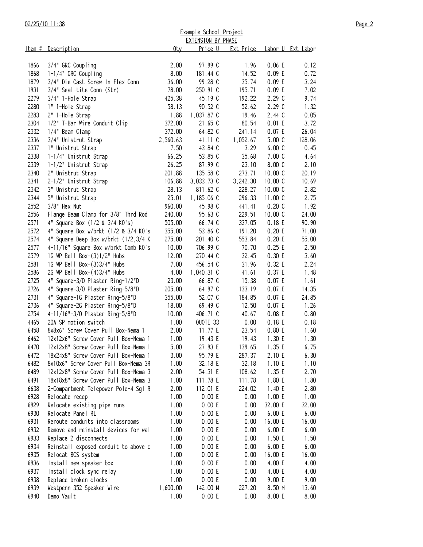|      |                                       | <u>Example School Project</u><br><b>EXTENSION BY PHASE</b> |                |                             |         |        |
|------|---------------------------------------|------------------------------------------------------------|----------------|-----------------------------|---------|--------|
|      | <u>Item # Description</u>             | <u>Qty y</u>                                               | <u>Price</u> U | Ext Price Labor U Ext Labor |         |        |
|      |                                       |                                                            |                |                             |         |        |
| 1866 | 3/4" GRC Coupling                     | 2.00                                                       | 97.99 C        | 1.96                        | 0.06 E  | 0.12   |
| 1868 | 1-1/4" GRC Coupling                   | 8.00                                                       | 181.44 C       | 14.52                       | 0.09 E  | 0.72   |
| 1879 | 3/4" Die Cast Screw-In Flex Conn      | 36.00                                                      | 99.28 C        | 35.74                       | 0.09 E  | 3.24   |
| 1931 | 3/4" Seal-tite Conn (Str)             | 78.00                                                      | 250.91 C       | 195.71                      | 0.09 E  | 7.02   |
| 2279 | 3/4" 1-Hole Strap                     | 425.38                                                     | 45.19 C        | 192.22                      | 2.29C   | 9.74   |
| 2280 | 1" 1-Hole Strap                       | 58.13                                                      | 90.52 C        | 52.62                       | 2.29C   | 1.32   |
| 2283 | 2" 1-Hole Strap                       | 1.88                                                       | 1,037.87 C     | 19.46                       | 2.44C   | 0.05   |
| 2304 | 1/2" T-Bar Wire Conduit Clip          | 372.00                                                     | 21.65C         | 80.54                       | 0.01 E  | 3.72   |
| 2332 | 1/4" Beam Clamp                       | 372.00                                                     | 64.82 C        | 241.14                      | 0.07 E  | 26.04  |
| 2336 | 3/4" Unistrut Strap                   | 2,560.63                                                   | 41.11C         | 1,052.67                    | 5.00C   | 128.06 |
| 2337 | 1" Unistrut Strap                     | 7.50                                                       | 43.84 C        | 3.29                        | 6.00C   | 0.45   |
| 2338 | 1-1/4" Unistrut Strap                 | 66.25                                                      | 53.85 C        | 35.68                       | 7.00C   | 4.64   |
| 2339 | 1-1/2" Unistrut Strap                 | 26.25                                                      | 87.99 C        | 23.10                       | 8.00 C  | 2.10   |
| 2340 | 2" Unistrut Strap                     | 201.88                                                     | 135.58 C       | 273.71                      | 10.00C  | 20.19  |
| 2341 | 2-1/2" Unistrut Strap                 | 106.88                                                     | 3,033.73 C     | 3,242.30                    | 10.00C  | 10.69  |
| 2342 | 3" Unistrut Strap                     | 28.13                                                      | 811.62 C       | 228.27                      | 10.00C  | 2.82   |
| 2344 | 5" Unistrut Strap                     | 25.01                                                      | 1,185.06 C     | 296.33                      | 11.00C  | 2.75   |
| 2552 | $3/8"$ Hex Nut                        | 960.00                                                     | 45.98 C        | 441.41                      | 0.20C   | 1.92   |
| 2556 | Flange Beam Clamp for 3/8" Thrd Rod   | 240.00                                                     | 95.63 C        | 229.51                      | 10.00C  | 24.00  |
| 2571 | 4" Square Box (1/2 & 3/4 K0's)        | 505.00                                                     | 66.74 C        | 337.05                      | 0.18 E  | 90.90  |
| 2572 | 4" Square Box w/brkt (1/2 & 3/4 KO's  | 355.00                                                     | 53.86 C        | 191.20                      | 0.20 E  | 71.00  |
| 2574 | 4" Square Deep Box w/brkt (1/2,3/4 K) | 275.00                                                     | 201.40 C       | 553.84                      | 0.20 E  | 55.00  |
| 2577 | 4-11/16" Square Box w/brkt Comb KO's  | 10.00                                                      | 706.99 C       | 70.70                       | 0.25 E  | 2.50   |
| 2579 | 1G WP Bell Box-(3)1/2" Hubs           | 12.00                                                      | 270.44 C       | 32.45                       | 0.30 E  | 3.60   |
| 2581 | 1G WP Bell Box- $(3)3/4"$ Hubs        | 7.00                                                       | 456.54 C       | 31.96                       | 0.32 E  | 2.24   |
| 2586 | 2G WP Bell Box- $(4)3/4"$ Hubs        | 4.00                                                       | 1,040.31 C     | 41.61                       | 0.37 E  | 1.48   |
| 2725 | 4" Square-3/0 Plaster Ring-1/2"D      | 23.00                                                      | 66.87 C        | 15.38                       | 0.07 E  | 1.61   |
| 2726 | 4" Square-3/0 Plaster Ring-5/8"D      | 205.00                                                     | 64.97 C        | 133.19                      | 0.07 E  | 14.35  |
| 2731 | 4" Square-1G Plaster Ring-5/8"D       | 355.00                                                     | 52.07 C        | 184.85                      | 0.07 E  | 24.85  |
| 2736 | 4" Square-2G Plaster Ring-5/8"D       | 18.00                                                      | 69.49 C        | 12.50                       | 0.07 E  | 1.26   |
| 2754 | 4-11/16"-3/0 Plaster Ring-5/8"D       | 10.00                                                      | 406.71 C       | 40.67                       | 0.08 E  | 0.80   |
| 4465 | 20A SP motion switch                  | 1.00                                                       | QUOTE 33       | 0.00                        | 0.18 E  | 0.18   |
| 6458 | 8x8x6" Screw Cover Pull Box-Nema 1    | 2.00                                                       | 11.77 E        | 23.54                       | 0.80 E  | 1.60   |
| 6462 | 12x12x6" Screw Cover Pull Box-Nema 1  | 1.00                                                       | 19.43 E        | 19.43                       | 1.30 E  | 1.30   |
| 6470 | 12x12x8" Screw Cover Pull Box-Nema 1  | 5.00                                                       | 27.93 E        | 139.65                      | 1.35 E  | 6.75   |
| 6472 | 18x24x8" Screw Cover Pull Box-Nema 1  | 3.00                                                       | 95.79 E        | 287.37                      | 2.10 E  | 6.30   |
| 6482 | 8x10x6" Screw Cover Pull Box-Nema 3R  | 1.00                                                       | 32.18 E        | 32.18                       | 1.10 E  | 1.10   |
| 6489 | 12x12x8" Screw Cover Pull Box-Nema 3  | 2.00                                                       | 54.31 E        | 108.62                      | 1.35 E  | 2.70   |
| 6491 | 18x18x8" Screw Cover Pull Box-Nema 3  | 1.00                                                       | 111.78 E       | 111.78                      | 1.80 E  | 1.80   |
| 6638 | 2-Compartment Telepower Pole-4 Sql R  | 2.00                                                       | 112.01 E       | 224.02                      | 1.40 E  | 2.80   |
| 6928 | Relocate recep                        | 1.00                                                       | 0.00 E         | 0.00                        | 1.00 E  | 1.00   |
| 6929 | Relocate existing pipe runs           | 1.00                                                       | 0.00 E         | 0.00                        | 32.00 E | 32.00  |
| 6930 | Relocate Panel RL                     | 1.00                                                       | 0.00 E         | 0.00                        | 6.00 E  | 6.00   |
| 6931 | Reroute conduits into classrooms      | 1.00                                                       | 0.00 E         | 0.00                        | 16.00 E | 16.00  |
| 6932 | Remove and reinstall devices for wal  | 1.00                                                       | 0.00 E         | 0.00                        | 6.00 E  | 6.00   |
| 6933 | Replace 2 disconnects                 | 1.00                                                       | 0.00 E         | 0.00                        | 1.50 E  | 1.50   |
| 6934 | Reinstall exposed conduit to above c  | 1.00                                                       | 0.00 E         | 0.00                        | 6.00 E  | 6.00   |
| 6935 | Relocat BCS system                    | 1.00                                                       | 0.00 E         | 0.00                        | 16.00 E | 16.00  |
| 6936 | Install new speaker box               | 1.00                                                       | 0.00 E         | 0.00                        | 4.00 E  | 4.00   |
| 6937 | Install clock sync relay              | 1.00                                                       | 0.00 E         | 0.00                        | 4.00 E  | 4.00   |
| 6938 | Replace broken clocks                 | 1.00                                                       | 0.00 E         | 0.00                        | 9.00 E  | 9.00   |
| 6939 | Westpenn 352 Speaker Wire             | 1,600.00                                                   | 142.00 M       | 227.20                      | 8.50 M  | 13.60  |
| 6940 | Demo Vault                            | 1.00                                                       | 0.00 E         | 0.00                        | 8.00 E  | 8.00   |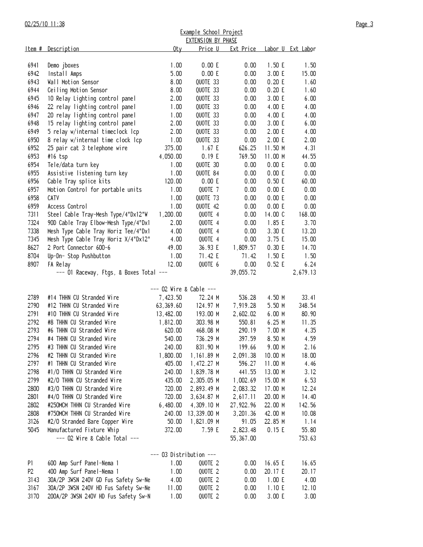|                |                                                      |                    | Example School Project<br><b>EXTENSION BY PHASE</b> |                             |                    |              |
|----------------|------------------------------------------------------|--------------------|-----------------------------------------------------|-----------------------------|--------------------|--------------|
|                | Item # Description                                   | <u>Qty</u>         | Price U                                             | Ext Price Labor U Ext Labor |                    |              |
| 6941           | Demo jboxes                                          | 1.00               | 0.00 E                                              | 0.00                        | 1.50E              | 1.50         |
| 6942           | Install Amps                                         | 5.00               | 0.00 E                                              | 0.00                        | 3.00 E             | 15.00        |
| 6943           | Wall Motion Sensor                                   | 8.00               | QUOTE 33                                            | 0.00                        | 0.20 E             | 1.60         |
| 6944           | Ceiling Motion Sensor                                | 8.00               | QUOTE 33                                            | 0.00                        | 0.20 E             | 1.60         |
| 6945           | 10 Relay Lighting control panel                      | 2.00               | QUOTE 33                                            | 0.00                        | 3.00 E             | 6.00         |
| 6946           | 22 relay lighting control panel                      | 1.00               | QUOTE 33                                            | 0.00                        | 4.00 E             | 4.00         |
| 6947           | 20 relay lighting control panel                      | 1.00               | QUOTE 33                                            | 0.00                        | 4.00 E             | 4.00         |
| 6948           | 15 relay lighting control panel                      | 2.00               | QUOTE 33                                            | 0.00                        | 3.00 E             | 6.00         |
| 6949           | 5 relay w/internal timeclock lcp                     | 2.00               | QUOTE 33                                            | 0.00                        | 2.00 E             | 4.00         |
| 6950           | 8 relay w/internal time clock lcp                    | 1.00               | QUOTE 33                                            | 0.00                        | 2.00 E             | 2.00         |
| 6952           | 25 pair cat 3 telephone wire                         | 375.00             | 1.67 E                                              | 626.25                      | 11.50 M            | 4.31         |
| 6953           | #16 tsp                                              | 4,050.00           | 0.19 E                                              | 769.50                      | 11.00 M            | 44.55        |
| 6954           | Tele/data turn key                                   | 1.00               | QUOTE 30                                            | 0.00                        | 0.00 E             | 0.00         |
| 6955           | Assistive listening turn key                         | 1.00               | QUOTE 84                                            | 0.00                        | 0.00 E             | 0.00         |
| 6956           | Cable Tray splice kits                               | 120.00             | 0.00 E                                              | 0.00                        | 0.50 E             | 60.00        |
| 6957           | Motion Control for portable units                    | 1.00               | QUOTE 7                                             | 0.00                        | 0.00 E             | 0.00         |
| 6958           | <b>CATV</b>                                          | 1.00               | QUOTE 73                                            | 0.00                        | 0.00 E             | 0.00         |
| 6959           | Access Control                                       | 1.00               | QUOTE 42                                            | 0.00                        | 0.00 E             | 0.00         |
| 7311           | Steel Cable Tray-Mesh Type/4"Dx12"W                  | 1,200.00           | QUOTE 4                                             | 0.00                        | 14.00 C            | 168.00       |
| 7324           | 90D Cable Tray Elbow-Mesh Type/4"Dx1                 | 2.00               | QUOTE 4                                             | 0.00                        | 1.85 E             | 3.70         |
| 7338           | Mesh Type Cable Tray Horiz Tee/4"Dx1                 | 4.00               | QUOTE 4                                             | 0.00                        | 3.30 E             | 13.20        |
| 7345           | Mesh Type Cable Tray Horiz X/4"Dx12"                 | 4.00               | QUOTE 4                                             | 0.00                        | 3.75 E             | 15.00        |
| 8627           | 2 Port Connector 600-6                               | 49.00              | 36.93 E                                             | 1,809.57                    | 0.30 E             | 14.70        |
| 8704           | Up-Dn- Stop Pushbutton                               | 1.00               | 71.42 E                                             | 71.42                       | 1.50 E             | 1.50         |
| 8907           | FA Relay                                             | 12.00              | QUOTE 6                                             | 0.00                        | 0.52 E             | 6.24         |
|                | --- 01 Raceway, Ftgs, & Boxes Total ---              |                    |                                                     | 39,055.72                   |                    | 2,679.13     |
|                |                                                      |                    | --- 02 Wire & Cable ---                             |                             |                    |              |
| 2789           | #14 THHN CU Stranded Wire                            | 7,423.50           | 72.24 M                                             | 536.28                      | 4.50 M             | 33.41        |
| 2790           | #12 THHN CU Stranded Wire                            | 63,369.60          | 124.97 M                                            | 7,919.28                    | 5.50 M             | 348.54       |
| 2791           | #10 THHN CU Stranded Wire                            | 13,482.00          | 193.00 M                                            | 2,602.02                    | 6.00 M             | 80.90        |
| 2792           | #8 THHN CU Stranded Wire                             | 1,812.00           | 303.98 M                                            | 550.81                      | 6.25M              | 11.35        |
| 2793           | #6 THHN CU Stranded Wire                             | 620.00             | 468.08 M                                            | 290.19                      | 7.00 M             | 4.35         |
| 2794           | #4 THHN CU Stranded Wire                             | 540.00             | 736.29 M                                            | 397.59                      | 8.50 M             | 4.59         |
| 2795           | #3 THHN CU Stranded Wire                             | 240.00             | 831.90 M                                            | 199.66                      | 9.00 M             | 2.16         |
| 2796<br>2797   | #2 THHN CU Stranded Wire<br>#1 THHN CU Stranded Wire | 1,800.00<br>405.00 | 1,161.89 M                                          | 2,091.38<br>596.27          | 10.00 M            | 18.00        |
| 2798           | #1/0 THHN CU Stranded Wire                           | 240.00             | 1,472.27 M<br>1,839.78 M                            | 441.55                      | 11.00 M<br>13.00 M | 4.46<br>3.12 |
| 2799           | #2/0 THHN CU Stranded Wire                           | 435.00             | 2,305.05 M                                          | 1,002.69                    | 15.00 M            | 6.53         |
| 2800           | #3/0 THHN CU Stranded Wire                           | 720.00             | 2,893.49 M                                          | 2,083.32                    | 17.00 M            | 12.24        |
| 2801           | #4/0 THHN CU Stranded Wire                           | 720.00             | 3,634.87 M                                          | 2,617.11                    | 20.00 M            | 14.40        |
| 2802           | #250MCM THHN CU Stranded Wire                        | 6,480.00           | 4,309.10 M                                          | 27,922.96                   | 22.00 M            | 142.56       |
| 2808           | #750MCM THHN CU Stranded Wire                        | 240.00             | 13,339.00 M                                         | 3,201.36                    | 42.00 M            | 10.08        |
| 3126           | #2/0 Stranded Bare Copper Wire                       | 50.00              | 1,821.09 M                                          | 91.05                       | 22.85 M            | 1.14         |
| 5045           | Manufactured Fixture Whip                            | 372.00             | 7.59 E                                              | 2,823.48                    | 0.15 E             | 55.80        |
|                | $---$ 02 Wire & Cable Total $---$                    |                    |                                                     | 55,367.00                   |                    | 753.63       |
|                |                                                      |                    | --- 03 Distribution ---                             |                             |                    |              |
| P1             | 600 Amp Surf Panel-Nema 1                            | 1.00               | QUOTE 2                                             | 0.00                        | 16.65 E            | 16.65        |
| P <sub>2</sub> | 400 Amp Surf Panel-Nema 1                            | 1.00               | QUOTE 2                                             | 0.00                        | 20.17 E            | 20.17        |
| 3143           | 30A/2P 3WSN 240V GD Fus Safety Sw-Ne                 | 4.00               | QUOTE 2                                             | 0.00                        | 1.00 E             | 4.00         |
| 3167           | 30A/2P 3WSN 240V HD Fus Safety Sw-Ne                 | 11.00              | QUOTE 2                                             | 0.00                        | 1.10 E             | 12.10        |
| 3170           | 200A/2P 3WSN 240V HD Fus Safety Sw-N                 | 1.00               | QUOTE 2                                             | 0.00                        | 3.00 E             | 3.00         |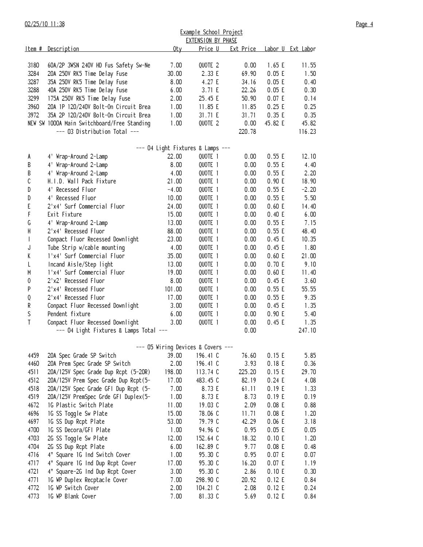|              |                                             |         | Example School Project<br><b>EXTENSION BY PHASE</b> |                             |          |         |
|--------------|---------------------------------------------|---------|-----------------------------------------------------|-----------------------------|----------|---------|
|              | Item # Description                          | 0ty     | <u>Price U</u>                                      | Ext Price Labor U Ext Labor |          |         |
|              |                                             |         |                                                     |                             |          |         |
| 3180         | 60A/2P 3WSN 240V HD Fus Safety Sw-Ne        | 7.00    | QUOTE 2                                             | 0.00                        | 1.65 E   | 11.55   |
| 3284         | 20A 250V RK5 Time Delay Fuse                | 30.00   | 2.33 E                                              | 69.90                       | 0.05 E   | 1.50    |
| 3287         | 35A 250V RK5 Time Delay Fuse                | 8.00    | 4.27 E                                              | 34.16                       | 0.05 E   | 0.40    |
| 3288         | 40A 250V RK5 Time Delay Fuse                | $6.00$  | 3.71 E                                              | 22.26                       | 0.05 E   | 0.30    |
| 3299         | 175A 250V RK5 Time Delay Fuse               | 2.00    | 25.45 E                                             | 50.90                       | 0.07 E   | 0.14    |
| 3960         | 20A 1P 120/240V Bolt-On Circuit Brea        | 1.00    | 11.85 E                                             | 11.85                       | 0.25 E   | 0.25    |
| 3972         | 35A 2P 120/240V Bolt-On Circuit Brea        | 1.00    | 31.71 E                                             | 31.71                       | 0.35 E   | 0.35    |
|              | NEW SW 1000A Main Switchboard/Free Standing | 1.00    | QUOTE 2                                             | 0.00                        | 45.82 E  | 45.82   |
|              | --- 03 Distribution Total ---               |         |                                                     | 220.78                      |          | 116.23  |
|              |                                             |         | --- 04 Light Fixtures & Lamps ---                   |                             |          |         |
| A            | 4' Wrap-Around 2-Lamp                       | 22.00   | QUOTE 1                                             | 0.00                        | 0.55 E   | 12.10   |
| B            | 4' Wrap-Around 2-Lamp                       | 8.00    | QUOTE 1                                             | 0.00                        | 0.55 E   | 4.40    |
| B            | 4' Wrap-Around 2-Lamp                       | 4.00    | QUOTE 1                                             | 0.00                        | 0.55 E   | 2.20    |
| C            | H.I.D. Wall Pack Fixture                    | 21.00   | QUOTE 1                                             | 0.00                        | 0.90 E   | 18.90   |
| D            | 4' Recessed Fluor                           | $-4.00$ | QUOTE 1                                             | 0.00                        | 0.55 E   | $-2.20$ |
| D            | 4' Recessed Fluor                           | 10.00   | QUOTE 1                                             | 0.00                        | 0.55 E   | 5.50    |
| E            | 2'x4' Surf Commercial Fluor                 | 24.00   | QUOTE 1                                             | 0.00                        | 0.60 E   | 14.40   |
| F            | Exit Fixture                                | 15.00   | QUOTE 1                                             | 0.00                        | 0.40 E   | $6.00$  |
| G            | 4' Wrap-Around 2-Lamp                       | 13.00   | QUOTE 1                                             | 0.00                        | 0.55 E   | 7.15    |
| Н            | 2'x4' Recessed Fluor                        | 88.00   | QUOTE 1                                             | 0.00                        | 0.55 E   | 48.40   |
| $\mathbf{I}$ | Conpact Fluor Recessed Downlight            | 23.00   | QUOTE 1                                             | 0.00                        | 0.45 E   | 10.35   |
| J            | Tube Strip w/cable mounting                 | 4.00    | QUOTE 1                                             | 0.00                        | 0.45 E   | 1.80    |
| K            | 1'x4' Surf Commercial Fluor                 | 35.00   | QUOTE 1                                             | 0.00                        | 0.60 E   | 21.00   |
| L            | Incand Aisle/Step light                     | 13.00   | QUOTE 1                                             | 0.00                        | 0.70 E   | 9.10    |
| M            | 1'x4' Surf Commercial Fluor                 | 19.00   | QUOTE 1                                             | 0.00                        | 0.60 E   | 11.40   |
| 0            | 2'x2' Recessed Fluor                        | 8.00    | QUOTE 1                                             | 0.00                        | 0.45 E   | 3.60    |
| P            | 2'x4' Recessed Fluor                        | 101.00  | QUOTE 1                                             | 0.00                        | 0.55 E   | 55.55   |
| Q            | 2'x4' Recessed Fluor                        | 17.00   | QUOTE 1                                             | 0.00                        | 0.55 E   | 9.35    |
| R            | Conpact Fluor Recessed Downlight            | 3.00    | QUOTE 1                                             | 0.00                        | 0.45 E   | 1.35    |
| $\mathsf S$  | Pendent fixture                             | $6.00$  | QUOTE 1                                             | 0.00                        | 0.90 E   | 5.40    |
| T            | Conpact Fluor Recessed Downlight            | 3.00    | QUOTE 1                                             | 0.00                        | 0.45 E   | 1.35    |
|              | --- 04 Light Fixtures & Lamps Total ---     |         |                                                     | 0.00                        |          | 247.10  |
|              |                                             |         | $---$ 05 Wiring Devices & Covers $---$              |                             |          |         |
| 4459         | 20A Spec Grade SP Switch                    | 39.00   | 196.41 C                                            | 76.60                       | 0.15 E   | 5.85    |
| 4460         | 20A Prem Spec Grade SP Switch               | 2.00    | 196.41 C                                            | 3.93                        | 0.18 E   | 0.36    |
| 4511         | 20A/125V Spec Grade Dup Rcpt (5-20R)        | 198.00  | 113.74 C                                            | 225.20                      | 0.15 E   | 29.70   |
| 4512         | 20A/125V Prem Spec Grade Dup Rcpt(5-        | 17.00   | 483.45 C                                            | 82.19                       | 0.24 E   | 4.08    |
| 4518         | 20A/125V Spec Grade GFI Dup Rcpt (5-        | 7.00    | 8.73 E                                              | 61.11                       | 0.19 E   | 1.33    |
| 4519         | 20A/125V PremSpec Grde GFI Duplex(5-        | 1.00    | 8.73 E                                              | 8.73                        | 0.19 E   | 0.19    |
| 4672         | 1G Plastic Switch Plate                     | 11.00   | 19.03 C                                             | 2.09                        | 0.08 E   | 0.88    |
| 4696         | 1G SS Toggle Sw Plate                       | 15.00   | 78.06 C                                             | 11.71                       | 0.08 E   | 1.20    |
| 4697         | 1G SS Dup Rcpt Plate                        | 53.00   | 79.79 C                                             | 42.29                       | $0.06$ E | 3.18    |
| 4700         | 1G SS Decora/GFI Plate                      | 1.00    | 94.96 C                                             | 0.95                        | 0.05 E   | 0.05    |
| 4703         | 2G SS Toggle Sw Plate                       | 12.00   | 152.64 C                                            | 18.32                       | 0.10 E   | 1.20    |
| 4704         | 2G SS Dup Rcpt Plate                        | $6.00$  | 162.89 C                                            | 9.77                        | $0.08$ E | 0.48    |
| 4716         | 4" Square 1G Ind Switch Cover               | 1.00    | 95.30 C                                             | 0.95                        | 0.07 E   | 0.07    |
| 4717         | 4" Square 1G Ind Dup Rcpt Cover             | 17.00   | 95.30 C                                             | 16.20                       | 0.07 E   | 1.19    |
| 4721         | 4" Square-2G Ind Dup Rcpt Cover             | 3.00    | 95.30 C                                             | 2.86                        | 0.10 E   | 0.30    |
| 4771         | 1G WP Duplex Recptacle Cover                | 7.00    | 298.90 C                                            | 20.92                       | 0.12 E   | 0.84    |
| 4772         | 1G WP Switch Cover                          | 2.00    | 104.21 C                                            | 2.08                        | 0.12 E   | 0.24    |
| 4773         | 1G WP Blank Cover                           | 7.00    | 81.33 C                                             | 5.69                        | 0.12 E   | 0.84    |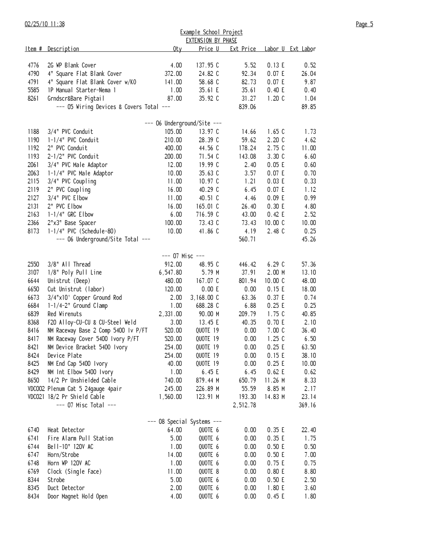| 02/25/10 11:38 |                                              |                     |                                |                             |         |        | Page 5 |
|----------------|----------------------------------------------|---------------------|--------------------------------|-----------------------------|---------|--------|--------|
|                |                                              |                     | Example School Project         |                             |         |        |        |
|                |                                              |                     | <b>EXTENSION BY PHASE</b>      |                             |         |        |        |
|                | <u>Item # Description ________________</u>   | <u>Qty</u>          | <u>Price U</u>                 | Ext Price Labor U Ext Labor |         |        |        |
| 4776           | 2G WP Blank Cover                            | 4.00                | 137.95 C                       | 5.52                        | 0.13 E  | 0.52   |        |
| 4790           | 4" Square Flat Blank Cover                   | 372.00              | 24.82 C                        | 92.34                       | 0.07 E  | 26.04  |        |
| 4791           | 4" Square Flat Blank Cover w/KO              | 141.00              | 58.68 C                        | 82.73                       | 0.07 E  | 9.87   |        |
| 5585           | 1P Manual Starter-Nema 1                     | 1.00                | 35.61 E                        | 35.61                       | 0.40 E  | 0.40   |        |
| 8261           | Grndscr&Bare Pigtail                         | 87.00               | 35.92 C                        | 31.27                       | 1.20C   | 1.04   |        |
|                | --- 05 Wiring Devices & Covers Total ---     |                     |                                | 839.06                      |         | 89.85  |        |
|                |                                              |                     |                                |                             |         |        |        |
|                |                                              |                     | --- 06 Underground/Site ---    |                             |         |        |        |
| 1188           | 3/4" PVC Conduit                             | 105.00              | 13.97C                         | 14.66                       | 1.65C   | 1.73   |        |
| 1190           | 1-1/4" PVC Conduit                           | 210.00              | 28.39 C                        | 59.62                       | 2.20C   | 4.62   |        |
| 1192           | 2" PVC Conduit                               | 400.00              | 44.56 C                        | 178.24                      | 2.75C   | 11.00  |        |
| 1193           | 2-1/2" PVC Conduit                           | 200.00              | 71.54 C                        | 143.08                      | 3.30C   | 6.60   |        |
| 2061           | 3/4" PVC Male Adaptor<br>12.00               |                     | 19.99 C                        | 2.40                        | 0.05 E  | 0.60   |        |
| 2063           | 1-1/4" PVC Male Adaptor<br>3/4" PVC Coupling | 10.00               | 35.63C                         | 3.57                        | 0.07 E  | 0.70   |        |
| 2115           |                                              | 11.00               | 10.97C                         | 1.21                        | 0.03 E  | 0.33   |        |
| 2119           | 2" PVC Coupling                              | 16.00               | 40.29 C                        | 6.45                        | 0.07 E  | 1.12   |        |
| 2127           | 3/4" PVC Elbow                               | 11.00               | 40.51 C                        | 4.46                        | 0.09 E  | 0.99   |        |
| 2131           | 2" PVC Elbow                                 | 16.00               | 165.01 C                       | 26.40                       | 0.30 E  | 4.80   |        |
| 2163           | $1-1/4"$ GRC Elbow                           | 6.00                | 716.59 C                       | 43.00                       | 0.42 E  | 2.52   |        |
| 2366           | 2"x3" Base Spacer                            | 100.00              | 73.43 C                        | 73.43                       | 10.00C  | 10.00  |        |
| 8173           | $1-1/4"$ PVC (Schedule-80)                   | 10.00               | 41.86 C                        | 4.19                        | 2.48C   | 0.25   |        |
|                | --- 06 Underground/Site Total ---            |                     |                                | 560.71                      |         | 45.26  |        |
|                |                                              |                     |                                |                             |         |        |        |
|                |                                              | $--- 07$ Misc $---$ |                                |                             |         |        |        |
| 2550           | 3/8" All Thread                              | 912.00              | 48.95 C                        | 446.42                      | 6.29C   | 57.36  |        |
| 3107           | 1/8" Poly Pull Line                          | 6,547.80            | 5.79 M                         | 37.91                       | 2.00 M  | 13.10  |        |
| 6644           | Unistrut (Deep)                              | 480.00              | 167.07C                        | 801.94                      | 10.00C  | 48.00  |        |
| 6650           | Cut Unistrut (labor)                         | 120.00              | 0.00 E                         | 0.00                        | 0.15 E  | 18.00  |        |
| 6673           | 3/4"x10' Copper Ground Rod                   |                     | 2.00 3,168.00 C                | 63.36                       | 0.37 E  | 0.74   |        |
| 6684           | $1-1/4-2"$ Ground Clamp                      | 1.00                | 688.28 C                       | 6.88                        | 0.25 E  | 0.25   |        |
| 6839           | Red Wirenuts                                 | 2,331.00            | 90.00 M                        | 209.79                      | 1.75C   | 40.85  |        |
| 8368           | F2O Alloy-CU-CU & CU-Steel Weld              | 3.00                | 13.45 E                        | 40.35                       | 0.70 E  | 2.10   |        |
| 8416           | NM Raceway Base 2 Comp 5400 Iv P/FT          | 520.00              | QUOTE 19                       | 0.00                        | 7.00 C  | 36.40  |        |
| 8417           | NM Raceway Cover 5400 Ivory P/FT             | 520.00              | QUOTE 19                       | 0.00                        | 1.25C   | 6.50   |        |
| 8421           | NM Device Bracket 5400 Ivory                 | 254.00              | QUOTE 19                       | 0.00                        | 0.25 E  | 63.50  |        |
| 8424           | Device Plate                                 | 254.00              | QUOTE 19                       | 0.00                        | 0.15 E  | 38.10  |        |
| 8425           | NM End Cap 5400 Ivory                        | 40.00               | QUOTE 19                       | 0.00                        | 0.25 E  | 10.00  |        |
| 8429           | NM Int Elbow 5400 Ivory                      | 1.00                | 6.45 E                         | 6.45                        | 0.62 E  | 0.62   |        |
| 8650           | 14/2 Pr Unshielded Cable                     | 740.00              | 879.44 M                       | 650.79                      | 11.26 M | 8.33   |        |
|                | VDCOO2 Plenum Cat 5 24gauge 4pair            | 245.00              | 226.89 M                       | 55.59                       | 8.85 M  | 2.17   |        |
|                | VDC021 18/2 Pr Shield Cable                  | 1,560.00            | 123.91 M                       | 193.30                      | 14.83 M | 23.14  |        |
|                | --- 07 Misc Total ---                        |                     |                                | 2,512.78                    |         | 369.16 |        |
|                |                                              |                     |                                |                             |         |        |        |
|                |                                              |                     | $---$ 08 Special Systems $---$ |                             |         |        |        |
| 6740           | Heat Detector                                | 64.00               | QUOTE 6                        | 0.00                        | 0.35 E  | 22.40  |        |
| 6741           | Fire Alarm Pull Station                      | 5.00                | QUOTE 6                        | 0.00                        | 0.35 E  | 1.75   |        |
| 6744           | Bell-10" 120V AC                             | 1.00                | QUOTE 6                        | 0.00                        | 0.50E   | 0.50   |        |
| 6747           | Horn/Strobe                                  | 14.00               | QUOTE 6                        | 0.00                        | 0.50E   | 7.00   |        |
| 6748           | Horn WP 120V AC                              | 1.00                | QUOTE 6                        | 0.00                        | 0.75 E  | 0.75   |        |
| 6769           | Clock (Single Face)                          | 11.00               | QUOTE 8                        | 0.00                        | 0.80E   | 8.80   |        |
| 8344           | Strobe                                       | 5.00                | QUOTE 6                        | 0.00                        | 0.50 E  | 2.50   |        |
| 8345           | Duct Detector                                | 2.00                | QUOTE 6                        | 0.00                        | 1.80 E  | 3.60   |        |
| 8434           | Door Magnet Hold Open                        | 4.00                | QUOTE 6                        | 0.00                        | 0.45 E  | 1.80   |        |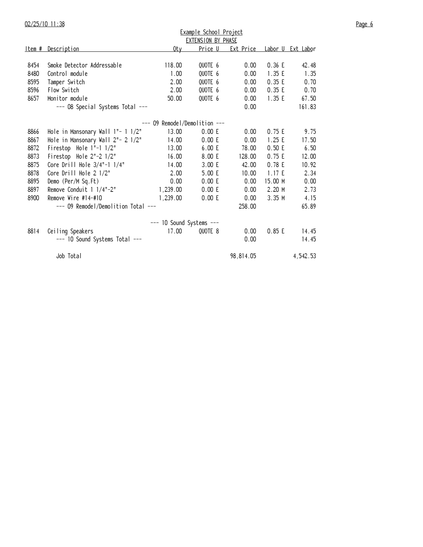|               | Example School Project              |                                   |                           |           |         |                   |
|---------------|-------------------------------------|-----------------------------------|---------------------------|-----------|---------|-------------------|
|               |                                     |                                   | <b>EXTENSION BY PHASE</b> |           |         |                   |
| <u>ltem #</u> | Description                         | Qty                               | Price U                   | Ext Price |         | Labor U Ext Labor |
|               |                                     |                                   |                           |           |         |                   |
| 8454          | Smoke Detector Addressable          | 118.00                            | QUOTE 6                   | 0.00      | 0.36 E  | 42.48             |
| 8480          | Control module                      | 1.00                              | OUOTE <sub>6</sub>        | 0.00      | 1.35 E  | 1.35              |
| 8595          | Tamper Switch                       | 2.00                              | OUOTE 6                   | 0.00      | 0.35 E  | 0.70              |
| 8596          | Flow Switch                         | 2.00                              | QUOTE 6                   | 0.00      | 0.35 E  | 0.70              |
| 8657          | Monitor module                      | 50.00                             | OUOTE 6                   | 0.00      | 1.35 E  | 67.50             |
|               | --- 08 Special Systems Total ---    |                                   |                           | 0.00      |         | 161.83            |
|               |                                     |                                   |                           |           |         |                   |
|               |                                     | $---$ 09 Remodel/Demolition $---$ |                           |           |         |                   |
| 8866          | Hole in Mansonary Wall 1"- 1 1/2"   | 13.00                             | 0.00 E                    | 0.00      | 0.75 E  | 9.75              |
| 8867          | Hole in Mansonary Wall 2"- 2 1/2"   | 14.00                             | 0.00 E                    | 0.00      | 1.25 E  | 17.50             |
| 8872          | Firestop Hole 1"-1 1/2"             | 13.00                             | 6.00 E                    | 78.00     | 0.50 E  | 6.50              |
| 8873          | Firestop Hole 2"-2 1/2"             | 16.00                             | 8.00 E                    | 128.00    | 0.75 E  | 12.00             |
| 8875          | Core Drill Hole $3/4"$ -1 $1/4"$    | 14.00                             | 3.00 E                    | 42.00     | 0.78 E  | 10.92             |
| 8878          | Core Drill Hole 2 1/2"              | 2.00                              | 5.00 E                    | 10.00     | 1.17 E  | 2.34              |
| 8895          | Demo (Per/M Sq.Ft)                  | 0.00                              | 0.00 E                    | 0.00      | 15.00 M | 0.00              |
| 8897          | Remove Conduit 1 1/4"-2"            | 1,239.00                          | 0.00 E                    | 0.00      | 2.20M   | 2.73              |
| 8900          | Remove Wire #14-#10                 | 1,239.00                          | 0.00 E                    | 0.00      | 3.35M   | 4.15              |
|               | --- 09 Remodel/Demolition Total --- |                                   |                           | 258.00    |         | 65.89             |
|               |                                     |                                   |                           |           |         |                   |
|               |                                     | $--- 10$ Sound Systems $---$      |                           |           |         |                   |
| 8814          | Ceiling Speakers                    | 17.00                             | QUOTE 8                   | 0.00      | 0.85 E  | 14.45             |
|               | --- 10 Sound Systems Total ---      |                                   |                           | 0.00      |         | 14.45             |
|               |                                     |                                   |                           |           |         |                   |
|               | Job Total                           |                                   |                           | 98,814.05 |         | 4,542.53          |
|               |                                     |                                   |                           |           |         |                   |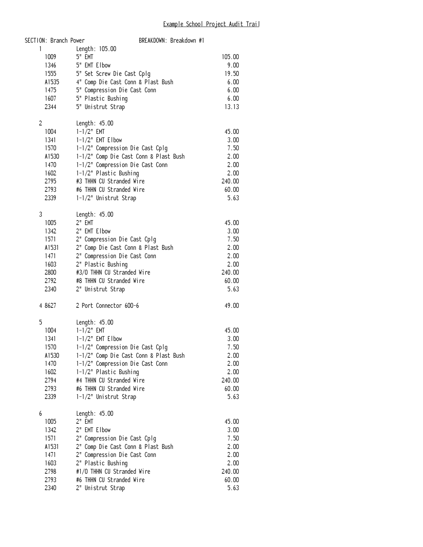| SECTION: Branch Power |              |                                                        | BREAKDOWN: Breakdown #1 |               |
|-----------------------|--------------|--------------------------------------------------------|-------------------------|---------------|
| 1                     |              | Length: 105.00                                         |                         |               |
|                       | 1009         | 5" EMT                                                 |                         | 105.00        |
|                       | 1346         | 5" EMT Elbow                                           |                         | 9.00          |
|                       | 1555         | 5" Set Screw Die Cast Cplg                             |                         | 19.50         |
|                       | A1535        | 4" Comp Die Cast Conn & Plast Bush                     |                         | 6.00          |
|                       | 1475         | 5" Compression Die Cast Conn                           |                         | 6.00          |
|                       | 1607<br>2344 | 5" Plastic Bushing<br>5" Unistrut Strap                |                         | 6.00<br>13.13 |
|                       |              |                                                        |                         |               |
| $\overline{c}$        |              | Length: 45.00                                          |                         |               |
|                       | 1004         | $1 - 1/2"$ EMT                                         |                         | 45.00         |
|                       | 1341         | 1-1/2" EMT Elbow                                       |                         | 3.00          |
|                       | 1570         | 1-1/2" Compression Die Cast Cplg                       |                         | 7.50          |
|                       | A1530        | 1-1/2" Comp Die Cast Conn & Plast Bush                 |                         | 2.00          |
|                       | 1470         | 1-1/2" Compression Die Cast Conn                       |                         | 2.00          |
|                       | 1602         | 1-1/2" Plastic Bushing                                 |                         | 2.00          |
|                       | 2795         | #3 THHN CU Stranded Wire<br>#6 THHN CU Stranded Wire   |                         | 240.00        |
|                       | 2793<br>2339 | 1-1/2" Unistrut Strap                                  |                         | 60.00<br>5.63 |
|                       |              |                                                        |                         |               |
| 3                     |              | Length: 45.00                                          |                         |               |
|                       | 1005         | 2" EMT                                                 |                         | 45.00         |
|                       | 1342         | 2" EMT Elbow                                           |                         | 3.00          |
|                       | 1571         | 2" Compression Die Cast Cplg                           |                         | 7.50          |
|                       | A1531        | 2" Comp Die Cast Conn & Plast Bush                     |                         | 2.00          |
|                       | 1471         | 2" Compression Die Cast Conn                           |                         | 2.00          |
|                       | 1603         | 2" Plastic Bushing                                     |                         | 2.00          |
|                       | 2800         | #3/0 THHN CU Stranded Wire                             |                         | 240.00        |
|                       | 2792         | #8 THHN CU Stranded Wire                               |                         | 60.00<br>5.63 |
|                       | 2340         | 2" Unistrut Strap                                      |                         |               |
| 4 8627                |              | 2 Port Connector 600-6                                 |                         | 49.00         |
| 5                     |              | Length: 45.00                                          |                         |               |
|                       | 1004         | $1 - 1/2"$ EMT                                         |                         | 45.00         |
|                       | 1341         | 1-1/2" EMT Elbow                                       |                         | 3.00          |
|                       | 1570         | 1-1/2" Compression Die Cast Cplg                       |                         | 7.50          |
|                       | A1530        | 1-1/2" Comp Die Cast Conn & Plast Bush                 |                         | 2.00          |
|                       | 1470         | 1-1/2" Compression Die Cast Conn                       |                         | 2.00          |
|                       | 1602         | 1-1/2" Plastic Bushing                                 |                         | 2.00          |
|                       | 2794         | #4 THHN CU Stranded Wire                               |                         | 240.00        |
|                       | 2793         | #6 THHN CU Stranded Wire                               |                         | 60.00         |
|                       | 2339         | 1-1/2" Unistrut Strap                                  |                         | 5.63          |
| 6                     |              | Length: 45.00                                          |                         |               |
|                       | 1005         | 2" EMT                                                 |                         | 45.00         |
|                       | 1342         | 2" EMT Elbow                                           |                         | 3.00          |
|                       | 1571         | 2" Compression Die Cast Cplg                           |                         | 7.50          |
|                       | A1531        | 2" Comp Die Cast Conn & Plast Bush                     |                         | 2.00          |
|                       | 1471         | 2" Compression Die Cast Conn                           |                         | 2.00          |
|                       | 1603         | 2" Plastic Bushing                                     |                         | 2.00          |
|                       | 2798         | #1/0 THHN CU Stranded Wire<br>#6 THHN CU Stranded Wire |                         | 240.00        |
|                       | 2793<br>2340 | 2" Unistrut Strap                                      |                         | 60.00<br>5.63 |
|                       |              |                                                        |                         |               |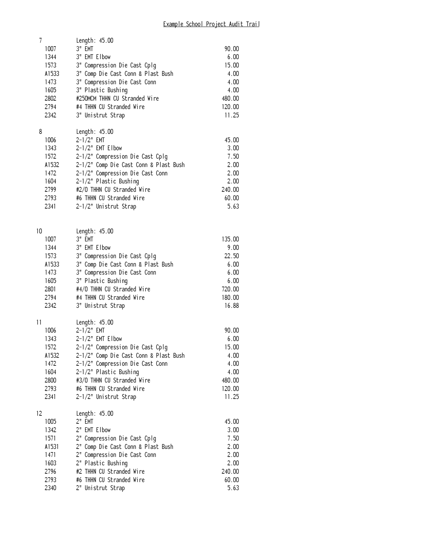| $\overline{7}$ | Length: 45.00                          |        |
|----------------|----------------------------------------|--------|
| 1007           | 3" EMT                                 | 90.00  |
| 1344           | 3" EMT Elbow                           | 6.00   |
| 1573           | 3" Compression Die Cast Cplg           | 15.00  |
| A1533          | 3" Comp Die Cast Conn & Plast Bush     | 4.00   |
| 1473           | 3" Compression Die Cast Conn           | 4.00   |
| 1605           | 3" Plastic Bushing                     | 4.00   |
| 2802           | #250MCM THHN CU Stranded Wire          | 480.00 |
| 2794           | #4 THHN CU Stranded Wire               | 120.00 |
|                |                                        | 11.25  |
| 2342           | 3" Unistrut Strap                      |        |
| 8              | Length: 45.00                          |        |
| 1006           | 2-1/2" EMT                             | 45.00  |
| 1343           | 2-1/2" EMT Elbow                       | 3.00   |
| 1572           | 2-1/2" Compression Die Cast Cplg       | 7.50   |
| A1532          | 2-1/2" Comp Die Cast Conn & Plast Bush | 2.00   |
| 1472           | 2-1/2" Compression Die Cast Conn       | 2.00   |
| 1604           | 2-1/2" Plastic Bushing                 | 2.00   |
| 2799           | #2/0 THHN CU Stranded Wire             | 240.00 |
| 2793           | #6 THHN CU Stranded Wire               | 60.00  |
|                |                                        |        |
| 2341           | 2-1/2" Unistrut Strap                  | 5.63   |
|                |                                        |        |
| 10             | Length: 45.00                          |        |
| 1007           | 3" EMT                                 | 135.00 |
| 1344           | 3" EMT Elbow                           | 9.00   |
| 1573           | 3" Compression Die Cast Cplg           | 22.50  |
| A1533          | 3" Comp Die Cast Conn & Plast Bush     | 6.00   |
| 1473           | 3" Compression Die Cast Conn           | 6.00   |
| 1605           | 3" Plastic Bushing                     | 6.00   |
| 2801           | #4/0 THHN CU Stranded Wire             | 720.00 |
| 2794           | #4 THHN CU Stranded Wire               | 180.00 |
| 2342           | 3" Unistrut Strap                      | 16.88  |
|                |                                        |        |
| 11             | Length: 45.00                          |        |
| 1006           | $2 - 1/2"$ EMT                         | 90.00  |
| 1343           | 2-1/2" EMT Elbow                       | 6.00   |
| 1572           | 2-1/2" Compression Die Cast Cplg       | 15.00  |
| A1532          | 2-1/2" Comp Die Cast Conn & Plast Bush | 4.00   |
| 1472           | 2-1/2" Compression Die Cast Conn       | 4.00   |
| 1604           | 2-1/2" Plastic Bushing                 | 4.00   |
| 2800           | #3/0 THHN CU Stranded Wire             | 480.00 |
| 2793           | #6 THHN CU Stranded Wire               | 120.00 |
| 2341           | 2-1/2" Unistrut Strap                  | 11.25  |
|                |                                        |        |
| 12<br>1005     | Length: 45.00<br>2" EMT                | 45.00  |
|                | 2" EMT Elbow                           |        |
| 1342           |                                        | 3.00   |
| 1571           | 2" Compression Die Cast Cplq           | 7.50   |
| A1531          | 2" Comp Die Cast Conn & Plast Bush     | 2.00   |
| 1471           | 2" Compression Die Cast Conn           | 2.00   |
| 1603           | 2" Plastic Bushing                     | 2.00   |
| 2796           | #2 THHN CU Stranded Wire               | 240.00 |
| 2793           | #6 THHN CU Stranded Wire               | 60.00  |
| 2340           | 2" Unistrut Strap                      | 5.63   |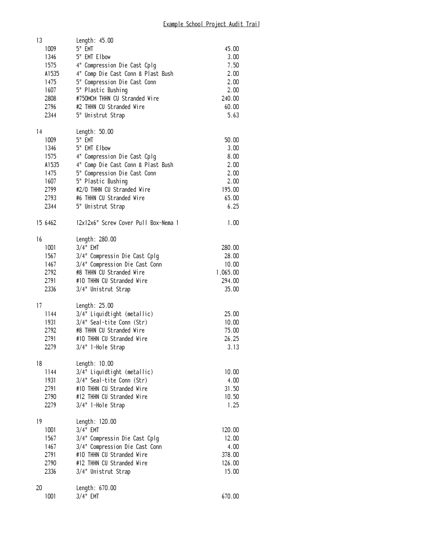| 13           | Length: 45.00                                               |                 |
|--------------|-------------------------------------------------------------|-----------------|
| 1009         | 5" EMT                                                      | 45.00           |
| 1346         | 5" EMT Elbow                                                | 3.00            |
| 1575         | 4" Compression Die Cast Cplg                                | 7.50            |
| A1535        | 4" Comp Die Cast Conn & Plast Bush                          | 2.00            |
| 1475         | 5" Compression Die Cast Conn                                | 2.00            |
| 1607         | 5" Plastic Bushing                                          | 2.00            |
| 2808         | #750MCM THHN CU Stranded Wire                               | 240.00          |
| 2796         | #2 THHN CU Stranded Wire                                    | 60.00           |
| 2344         | 5" Unistrut Strap                                           | 5.63            |
|              |                                                             |                 |
| 14           | Length: 50.00<br>5" EMT                                     |                 |
| 1009         | 5" EMT Elbow                                                | 50.00           |
| 1346         |                                                             | 3.00            |
| 1575         | 4" Compression Die Cast Cplg                                | 8.00            |
| A1535        | 4" Comp Die Cast Conn & Plast Bush                          | 2.00            |
| 1475         | 5" Compression Die Cast Conn                                | 2.00            |
| 1607         | 5" Plastic Bushing                                          | 2.00            |
| 2799         | #2/0 THHN CU Stranded Wire                                  | 195.00          |
| 2793         | #6 THHN CU Stranded Wire                                    | 65.00           |
| 2344         | 5" Unistrut Strap                                           | 6.25            |
| 15 6462      | 12x12x6" Screw Cover Pull Box-Nema 1                        | 1.00            |
| 16           | Length: 280.00                                              |                 |
| 1001         | $3/4"$ EMT                                                  | 280.00          |
| 1567         | 3/4" Compressin Die Cast Cplg                               | 28.00           |
| 1467         | 3/4" Compression Die Cast Conn                              | 10.00           |
| 2792         | #8 THHN CU Stranded Wire                                    | 1,065.00        |
| 2791         | #10 THHN CU Stranded Wire                                   | 294.00          |
| 2336         | 3/4" Unistrut Strap                                         | 35.00           |
| 17           | Length: 25.00                                               |                 |
| 1144         | 3/4" Liquidtight (metallic)                                 | 25.00           |
| 1931         | 3/4" Seal-tite Conn (Str)                                   | 10.00           |
| 2792         | #8 THHN CU Stranded Wire                                    | 75.00           |
| 2791         | #10 THHN CU Stranded Wire                                   | 26.25           |
| 2279         | 3/4" 1-Hole Strap                                           | 3.13            |
| 18           |                                                             |                 |
| 1144         | Length: 10.00<br>3/4" Liquidtight (metallic)                | 10.00           |
| 1931         | 3/4" Seal-tite Conn (Str)                                   | 4.00            |
| 2791         | #10 THHN CU Stranded Wire                                   | 31.50           |
| 2790         | #12 THHN CU Stranded Wire                                   | 10.50           |
| 2279         | 3/4" 1-Hole Strap                                           | 1.25            |
|              |                                                             |                 |
| 19           | Length: 120.00                                              |                 |
| 1001         | $3/4"$ EMT                                                  | 120.00          |
| 1567         | 3/4" Compressin Die Cast Cplg                               | 12.00           |
| 1467         | 3/4" Compression Die Cast Conn<br>#10 THHN CU Stranded Wire | 4.00            |
| 2791<br>2790 | #12 THHN CU Stranded Wire                                   | 378.00          |
| 2336         | 3/4" Unistrut Strap                                         | 126.00<br>15.00 |
|              |                                                             |                 |
| 20           | Length: 670.00                                              |                 |
| 1001         | $3/4"$ EMT                                                  | 670.00          |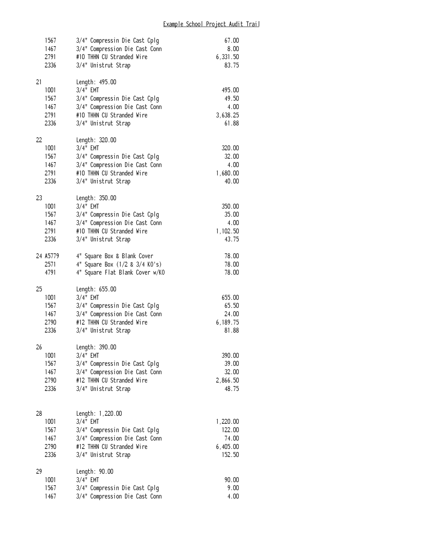| 1567<br>1467<br>2791<br>2336               | 3/4" Compressin Die Cast Cplg<br>3/4" Compression Die Cast Conn<br>#10 THHN CU Stranded Wire<br>3/4" Unistrut Strap                                   | 67.00<br>8.00<br>6,331.50<br>83.75                |
|--------------------------------------------|-------------------------------------------------------------------------------------------------------------------------------------------------------|---------------------------------------------------|
| 21<br>1001<br>1567<br>1467<br>2791<br>2336 | Length: 495.00<br>$3/4"$ EMT<br>3/4" Compressin Die Cast Cplg<br>3/4" Compression Die Cast Conn<br>#10 THHN CU Stranded Wire<br>3/4" Unistrut Strap   | 495.00<br>49.50<br>4.00<br>3,638.25<br>61.88      |
| 22<br>1001<br>1567<br>1467<br>2791<br>2336 | Length: 320.00<br>$3/4"$ EMT<br>3/4" Compressin Die Cast Cplg<br>3/4" Compression Die Cast Conn<br>#10 THHN CU Stranded Wire<br>3/4" Unistrut Strap   | 320.00<br>32.00<br>4.00<br>1,680.00<br>40.00      |
| 23<br>1001<br>1567<br>1467<br>2791<br>2336 | Length: 350.00<br>$3/4"$ EMT<br>3/4" Compressin Die Cast Cplg<br>3/4" Compression Die Cast Conn<br>#10 THHN CU Stranded Wire<br>3/4" Unistrut Strap   | 350.00<br>35.00<br>4.00<br>1,102.50<br>43.75      |
| 24 A5779<br>2571<br>4791                   | 4" Square Box & Blank Cover<br>4" Square Box (1/2 & 3/4 K0's)<br>4" Square Flat Blank Cover w/KO                                                      | 78.00<br>78.00<br>78.00                           |
| 25<br>1001<br>1567<br>1467<br>2790<br>2336 | Length: 655.00<br>$3/4"$ EMT<br>3/4" Compressin Die Cast Cplg<br>3/4" Compression Die Cast Conn<br>#12 THHN CU Stranded Wire<br>3/4" Unistrut Strap   | 655.00<br>65.50<br>24.00<br>6, 189. 75<br>81.88   |
| 26<br>1001<br>1567<br>1467<br>2790<br>2336 | Length: 390.00<br>$3/4"$ EMT<br>3/4" Compressin Die Cast Cplq<br>3/4" Compression Die Cast Conn<br>#12 THHN CU Stranded Wire<br>3/4" Unistrut Strap   | 390.00<br>39.00<br>32.00<br>2,866.50<br>48.75     |
| 28<br>1001<br>1567<br>1467<br>2790<br>2336 | Length: 1,220.00<br>$3/4"$ EMT<br>3/4" Compressin Die Cast Cplq<br>3/4" Compression Die Cast Conn<br>#12 THHN CU Stranded Wire<br>3/4" Unistrut Strap | 1,220.00<br>122.00<br>74.00<br>6,405.00<br>152.50 |
| 29<br>1001<br>1567<br>1467                 | Length: 90.00<br>$3/4"$ EMT<br>3/4" Compressin Die Cast Cplg<br>3/4" Compression Die Cast Conn                                                        | 90.00<br>9.00<br>4.00                             |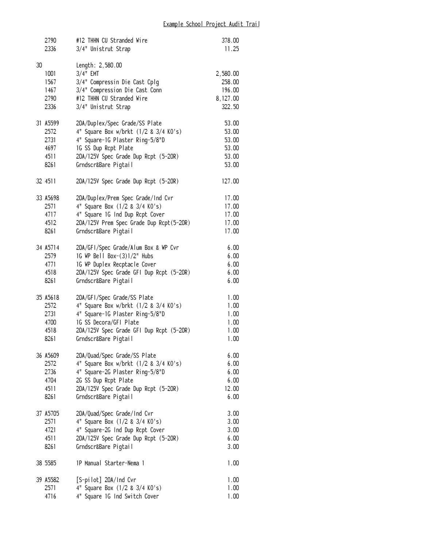| 2790<br>2336 | #12 THHN CU Stranded Wire<br>3/4" Unistrut Strap | 378.00<br>11.25 |
|--------------|--------------------------------------------------|-----------------|
|              |                                                  |                 |
| 30           | Length: 2,580.00                                 |                 |
| 1001         | 3/4" EMT                                         | 2,580.00        |
| 1567         | 3/4" Compressin Die Cast Cplg                    | 258.00          |
| 1467         | 3/4" Compression Die Cast Conn                   | 196.00          |
| 2790         | #12 THHN CU Stranded Wire                        | 8,127.00        |
| 2336         | 3/4" Unistrut Strap                              | 322.50          |
| 31 A5599     | 20A/Duplex/Spec Grade/SS Plate                   | 53.00           |
| 2572         | 4" Square Box w/brkt (1/2 & 3/4 K0's)            | 53.00           |
| 2731         | 4" Square-1G Plaster Ring-5/8"D                  | 53.00           |
| 4697         | 1G SS Dup Rcpt Plate                             | 53.00           |
| 4511         | 20A/125V Spec Grade Dup Rcpt (5-20R)             | 53.00           |
| 8261         | Grndscr&Bare Pigtail                             | 53.00           |
| 32 4511      | 20A/125V Spec Grade Dup Rcpt (5-20R)             | 127.00          |
| 33 A5698     | 20A/Duplex/Prem Spec Grade/Ind Cvr               | 17.00           |
| 2571         | 4" Square Box (1/2 & 3/4 K0's)                   | 17.00           |
| 4717         | 4" Square 1G Ind Dup Rcpt Cover                  | 17.00           |
| 4512         | 20A/125V Prem Spec Grade Dup Rcpt(5-20R)         | 17.00           |
| 8261         | Grndscr&Bare Piqtail                             | 17.00           |
| 34 A5714     | 20A/GFI/Spec Grade/Alum Box & WP Cvr             | $6.00$          |
| 2579         | 1G WP Bell Box-(3)1/2" Hubs                      | $6.00$          |
| 4771         | 1G WP Duplex Recptacle Cover                     | 6.00            |
| 4518         | 20A/125V Spec Grade GFI Dup Rcpt (5-20R)         | 6.00            |
| 8261         | Grndscr&Bare Pigtail                             | 6.00            |
| 35 A5618     | 20A/GFI/Spec Grade/SS Plate                      | 1.00            |
| 2572         | 4" Square Box w/brkt (1/2 & 3/4 K0's)            | 1.00            |
| 2731         | 4" Square-1G Plaster Ring-5/8"D                  | 1.00            |
| 4700         | 1G SS Decora/GFI Plate                           | 1.00            |
| 4518         | 20A/125V Spec Grade GFI Dup Rcpt (5-20R)         | 1.00            |
| 8261         | Grndscr&Bare Pigtail                             | 1.00            |
| 36 A5609     | 20A/Quad/Spec Grade/SS Plate                     | 6.00            |
| 2572         | 4" Square Box w/brkt (1/2 & 3/4 K0's)            | 6.00            |
| 2736         | 4" Square-2G Plaster Ring-5/8"D                  | $6.00$          |
| 4704         | 2G SS Dup Rcpt Plate                             | $6.00$          |
| 4511         | 20A/125V Spec Grade Dup Rcpt (5-20R)             | 12.00           |
| 8261         | Grndscr&Bare Pigtail                             | 6.00            |
| 37 A5705     | 20A/Quad/Spec Grade/Ind Cvr                      | 3.00            |
| 2571         | 4" Square Box (1/2 & 3/4 KO's)                   | 3.00            |
| 4721         | 4" Square-2G Ind Dup Rcpt Cover                  | 3.00            |
| 4511         | 20A/125V Spec Grade Dup Rcpt (5-20R)             | 6.00            |
| 8261         | Grndscr&Bare Pigtail                             | 3.00            |
| 38 5585      | 1P Manual Starter-Nema 1                         | 1.00            |
| 39 A5582     | [S-pilot] 20A/Ind Cvr                            | 1.00            |
| 2571         | 4" Square Box (1/2 & 3/4 K0's)                   | 1.00            |
| 4716         | 4" Square 1G Ind Switch Cover                    | 1.00            |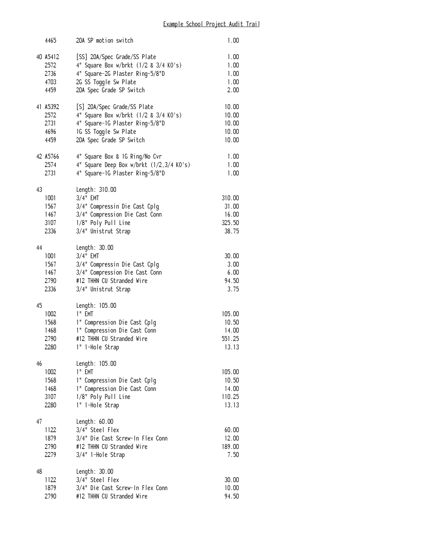| 4465                                       | 20A SP motion switch                                                                                                                                          | 1.00                                        |
|--------------------------------------------|---------------------------------------------------------------------------------------------------------------------------------------------------------------|---------------------------------------------|
| 40 A5412<br>2572<br>2736<br>4703<br>4459   | [SS] 20A/Spec Grade/SS Plate<br>4" Square Box w/brkt (1/2 & 3/4 K0's)<br>4" Square-2G Plaster Ring-5/8"D<br>2G SS Toggle Sw Plate<br>20A Spec Grade SP Switch | 1.00<br>1.00<br>1.00<br>1.00<br>2.00        |
| 41 A5392<br>2572<br>2731<br>4696<br>4459   | [S] 20A/Spec Grade/SS Plate<br>4" Square Box w/brkt (1/2 & 3/4 K0's)<br>4" Square-1G Plaster Ring-5/8"D<br>1G SS Toggle Sw Plate<br>20A Spec Grade SP Switch  | 10.00<br>10.00<br>10.00<br>10.00<br>10.00   |
| 42 A5766<br>2574<br>2731                   | 4" Square Box & 1G Ring/No Cvr<br>4" Square Deep Box w/brkt (1/2,3/4 KO's)<br>4" Square-1G Plaster Ring-5/8"D                                                 | 1.00<br>1.00<br>1.00                        |
| 43<br>1001<br>1567<br>1467<br>3107<br>2336 | Length: 310.00<br>$3/4"$ EMT<br>3/4" Compressin Die Cast Cplg<br>3/4" Compression Die Cast Conn<br>1/8" Poly Pull Line<br>3/4" Unistrut Strap                 | 310.00<br>31.00<br>16.00<br>325.50<br>38.75 |
| 44<br>1001<br>1567<br>1467<br>2790<br>2336 | Length: 30.00<br>$3/4"$ EMT<br>3/4" Compressin Die Cast Cplg<br>3/4" Compression Die Cast Conn<br>#12 THHN CU Stranded Wire<br>3/4" Unistrut Strap            | 30.00<br>3.00<br>6.00<br>94.50<br>3.75      |
| 45<br>1002<br>1568<br>1468<br>2790<br>2280 | Length: 105.00<br>1" EMT<br>1" Compression Die Cast Cplg<br>1" Compression Die Cast Conn<br>#12 THHN CU Stranded Wire<br>1" 1-Hole Strap                      | 105.00<br>10.50<br>14.00<br>551.25<br>13.13 |
| 46<br>1002<br>1568<br>1468<br>3107<br>2280 | Length: 105.00<br>1" EMT<br>1" Compression Die Cast Cplg<br>1" Compression Die Cast Conn<br>1/8" Poly Pull Line<br>1" 1-Hole Strap                            | 105.00<br>10.50<br>14.00<br>110.25<br>13.13 |
| 47<br>1122<br>1879<br>2790<br>2279         | Length: 60.00<br>3/4" Steel Flex<br>3/4" Die Cast Screw-In Flex Conn<br>#12 THHN CU Stranded Wire<br>3/4" 1-Hole Strap                                        | 60.00<br>12.00<br>189.00<br>7.50            |
| 48<br>1122<br>1879<br>2790                 | Length: 30.00<br>3/4" Steel Flex<br>3/4" Die Cast Screw-In Flex Conn<br>#12 THHN CU Stranded Wire                                                             | 30.00<br>10.00<br>94.50                     |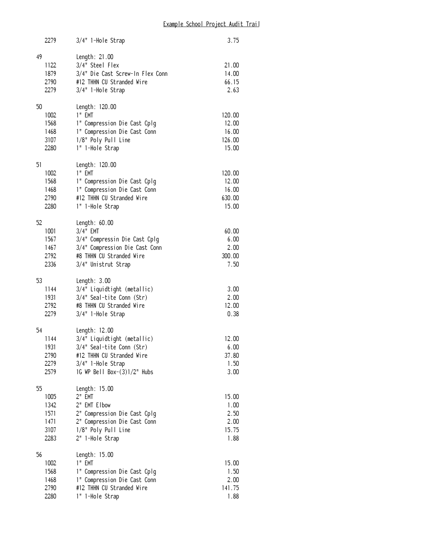| 2279                                               | 3/4" 1-Hole Strap                                                                                                                                          | 3.75                                           |
|----------------------------------------------------|------------------------------------------------------------------------------------------------------------------------------------------------------------|------------------------------------------------|
| 49<br>1122<br>1879<br>2790<br>2279                 | Length: 21.00<br>3/4" Steel Flex<br>3/4" Die Cast Screw-In Flex Conn<br>#12 THHN CU Stranded Wire<br>3/4" 1-Hole Strap                                     | 21.00<br>14.00<br>66.15<br>2.63                |
| 50<br>1002<br>1568<br>1468<br>3107<br>2280         | Length: 120.00<br>1" EMT<br>1" Compression Die Cast Cplg<br>1" Compression Die Cast Conn<br>1/8" Poly Pull Line<br>1" 1-Hole Strap                         | 120.00<br>12.00<br>16.00<br>126.00<br>15.00    |
| 51<br>1002<br>1568<br>1468<br>2790<br>2280         | Length: 120.00<br>1" EMT<br>1" Compression Die Cast Cplg<br>1" Compression Die Cast Conn<br>#12 THHN CU Stranded Wire<br>1" 1-Hole Strap                   | 120.00<br>12.00<br>16.00<br>630.00<br>15.00    |
| 52<br>1001<br>1567<br>1467<br>2792<br>2336         | Length: 60.00<br>3/4" EMT<br>3/4" Compressin Die Cast Cplg<br>3/4" Compression Die Cast Conn<br>#8 THHN CU Stranded Wire<br>3/4" Unistrut Strap            | 60.00<br>6.00<br>2.00<br>300.00<br>7.50        |
| 53<br>1144<br>1931<br>2792<br>2279                 | Length: $3.00$<br>3/4" Liquidtight (metallic)<br>3/4" Seal-tite Conn (Str)<br>#8 THHN CU Stranded Wire<br>3/4" 1-Hole Strap                                | 3.00<br>2.00<br>12.00<br>0.38                  |
| 54<br>1144<br>1931<br>2790<br>2279<br>2579         | Length: 12.00<br>3/4" Liquidtight (metallic)<br>3/4" Seal-tite Conn (Str)<br>#12 THHN CU Stranded Wire<br>3/4" 1-Hole Strap<br>1G WP Bell Box-(3)1/2" Hubs | 12.00<br>6.00<br>37.80<br>1.50<br>3.00         |
| 55<br>1005<br>1342<br>1571<br>1471<br>3107<br>2283 | Length: 15.00<br>2" EMT<br>2" EMT Elbow<br>2" Compression Die Cast Cplg<br>2" Compression Die Cast Conn<br>1/8" Poly Pull Line<br>2" 1-Hole Strap          | 15.00<br>1.00<br>2.50<br>2.00<br>15.75<br>1.88 |
| 56<br>1002<br>1568<br>1468<br>2790<br>2280         | Length: 15.00<br>1" EMT<br>1" Compression Die Cast Cplg<br>1" Compression Die Cast Conn<br>#12 THHN CU Stranded Wire<br>1" 1-Hole Strap                    | 15.00<br>1.50<br>2.00<br>141.75<br>1.88        |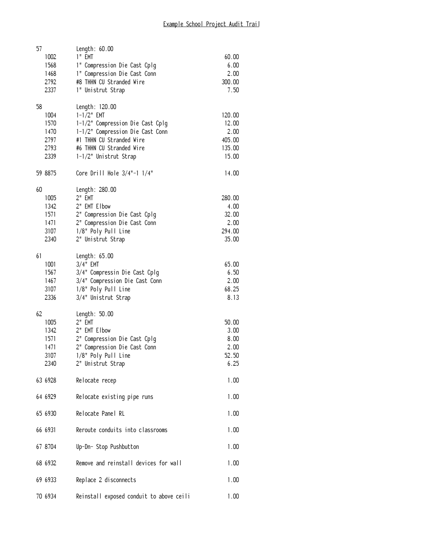| 57      | Length: 60.00                            |        |
|---------|------------------------------------------|--------|
| 1002    | 1" EMT                                   | 60.00  |
| 1568    | 1" Compression Die Cast Cplq             | 6.00   |
| 1468    | 1" Compression Die Cast Conn             | 2.00   |
| 2792    | #8 THHN CU Stranded Wire                 | 300.00 |
| 2337    | 1" Unistrut Strap                        | 7.50   |
| 58      | Length: 120.00                           |        |
| 1004    | $1 - 1/2"$ EMT                           | 120.00 |
| 1570    | 1-1/2" Compression Die Cast Cplg         | 12.00  |
| 1470    | 1-1/2" Compression Die Cast Conn         | 2.00   |
| 2797    | #1 THHN CU Stranded Wire                 | 405.00 |
| 2793    | #6 THHN CU Stranded Wire                 | 135.00 |
| 2339    | 1-1/2" Unistrut Strap                    | 15.00  |
|         |                                          |        |
| 59 8875 | Core Drill Hole $3/4"$ -1 $1/4"$         | 14.00  |
| 60      | Length: 280.00                           |        |
| 1005    | $2"$ FMT                                 | 280.00 |
| 1342    | 2" EMT Elbow                             | 4.00   |
| 1571    | 2" Compression Die Cast Cplg             | 32.00  |
| 1471    | 2" Compression Die Cast Conn             | 2.00   |
| 3107    | 1/8" Poly Pull Line                      | 294.00 |
| 2340    | 2" Unistrut Strap                        | 35.00  |
| 61      | Length: 65.00                            |        |
| 1001    | $3/4"$ EMT                               | 65.00  |
| 1567    | 3/4" Compressin Die Cast Cplg            | 6.50   |
| 1467    | 3/4" Compression Die Cast Conn           | 2.00   |
| 3107    | 1/8" Poly Pull Line                      | 68.25  |
| 2336    | 3/4" Unistrut Strap                      | 8.13   |
| 62      | Length: 50.00                            |        |
| 1005    | 2" EMT                                   | 50.00  |
| 1342    | 2" EMT Elbow                             | 3.00   |
| 1571    | 2" Compression Die Cast Cplg             | 8.00   |
| 1471    | 2" Compression Die Cast Conn             | 2.00   |
| 3107    | 1/8" Poly Pull Line                      | 52.50  |
| 2340    | 2" Unistrut Strap                        | 6.25   |
|         |                                          |        |
| 63 6928 | Relocate recep                           | 1.00   |
| 64 6929 | Relocate existing pipe runs              | 1.00   |
| 65 6930 | Relocate Panel RL                        | 1.00   |
| 66 6931 | Reroute conduits into classrooms         | 1.00   |
| 67 8704 | Up-Dn- Stop Pushbutton                   | 1.00   |
| 68 6932 | Remove and reinstall devices for wall    | 1.00   |
| 69 6933 | Replace 2 disconnects                    | 1.00   |
|         |                                          |        |
| 70 6934 | Reinstall exposed conduit to above ceili | 1.00   |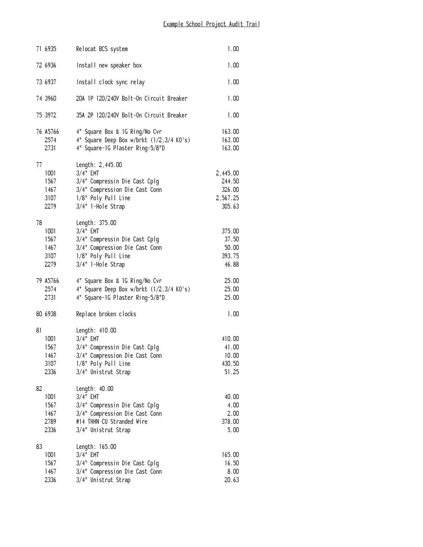|    | 71 6935  | Relocat BCS system                       | 1.00     |
|----|----------|------------------------------------------|----------|
|    | 72 6936  | Install new speaker box                  | 1.00     |
|    | 73 6937  | Install clock sync relay                 | 1.00     |
|    | 74 3960  | 20A 1P 120/240V Bolt-On Circuit Breaker  | 1.00     |
|    | 75 3972  | 35A 2P 120/240V Bolt-On Circuit Breaker  | 1.00     |
|    | 76 A5766 | 4" Square Box & 1G Ring/No Cvr           | 163.00   |
|    | 2574     | 4" Square Deep Box w/brkt (1/2,3/4 KO's) | 163.00   |
|    | 2731     | 4" Square-1G Plaster Ring-5/8"D          | 163.00   |
| 77 |          | Length: 2,445.00                         |          |
|    | 1001     | $3/4"$ EMT                               | 2,445.00 |
|    | 1567     | 3/4" Compressin Die Cast Cplq            | 244.50   |
|    | 1467     | 3/4" Compression Die Cast Conn           | 326.00   |
|    | 3107     | 1/8" Poly Pull Line                      | 2,567.25 |
|    | 2279     | 3/4" 1-Hole Strap                        | 305.63   |
| 78 |          | Length: 375.00                           |          |
|    | 1001     | $3/4"$ EMT                               | 375.00   |
|    | 1567     | 3/4" Compressin Die Cast Cplg            | 37.50    |
|    | 1467     | 3/4" Compression Die Cast Conn           | 50.00    |
|    | 3107     | 1/8" Poly Pull Line                      | 393.75   |
|    | 2279     | 3/4" 1-Hole Strap                        | 46.88    |
|    | 79 A5766 | 4" Square Box & 1G Ring/No Cvr           | 25.00    |
|    | 2574     | 4" Square Deep Box w/brkt (1/2,3/4 KO's) | 25.00    |
|    | 2731     | 4" Square-1G Plaster Ring-5/8"D          | 25.00    |
|    | 80 6938  | Replace broken clocks                    | 1.00     |
| 81 |          | Length: 410.00                           |          |
|    | 1001     | $3/4"$ EMT                               | 410.00   |
|    | 1567     | 3/4" Compressin Die Cast Cplq            | 41.00    |
|    | 1467     | 3/4" Compression Die Cast Conn           | 10.00    |
|    | 3107     | 1/8" Poly Pull Line                      | 430.50   |
|    | 2336     | 3/4" Unistrut Strap                      | 51.25    |
| 82 |          | Length: 40.00                            |          |
|    | 1001     | 3/4" EMT                                 | 40.00    |
|    | 1567     | 3/4" Compressin Die Cast Cplg            | 4.00     |
|    | 1467     | 3/4" Compression Die Cast Conn           | 2.00     |
|    | 2789     | #14 THHN CU Stranded Wire                | 378.00   |
|    | 2336     | 3/4" Unistrut Strap                      | 5.00     |
| 83 |          | Length: 165.00                           |          |
|    | 1001     | 3/4" EMT                                 | 165.00   |
|    | 1567     | 3/4" Compressin Die Cast Cplg            | 16.50    |
|    | 1467     | 3/4" Compression Die Cast Conn           | 8.00     |
|    | 2336     | 3/4" Unistrut Strap                      | 20.63    |
|    |          |                                          |          |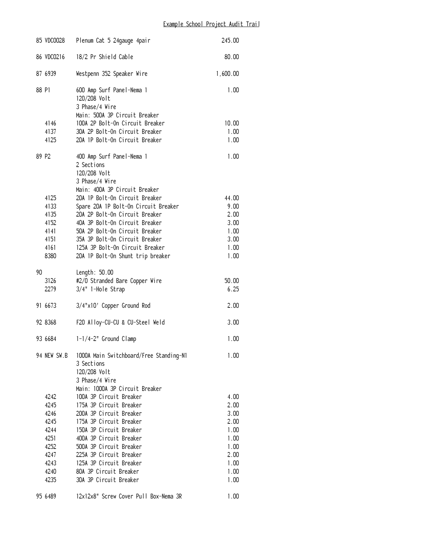|                   | 85 VDC0028   | Plenum Cat 5 24gauge 4pair                                                                   | 245.00        |
|-------------------|--------------|----------------------------------------------------------------------------------------------|---------------|
|                   | 86 VDC0216   | 18/2 Pr Shield Cable                                                                         | 80.00         |
|                   | 87 6939      | Westpenn 352 Speaker Wire                                                                    | 1,600.00      |
| 88 P1             |              | 600 Amp Surf Panel-Nema 1<br>120/208 Volt<br>3 Phase/4 Wire<br>Main: 500A 3P Circuit Breaker | 1.00          |
|                   | 4146         | 100A 2P Bolt-On Circuit Breaker                                                              | 10.00         |
|                   | 4137         | 30A 2P Bolt-On Circuit Breaker                                                               | 1.00          |
|                   | 4125         | 20A 1P Bolt-On Circuit Breaker                                                               | 1.00          |
| 89 P <sub>2</sub> |              | 400 Amp Surf Panel-Nema 1<br>2 Sections<br>120/208 Volt<br>3 Phase/4 Wire                    | 1.00          |
|                   |              | Main: 400A 3P Circuit Breaker                                                                |               |
|                   | 4125<br>4133 | 20A 1P Bolt-On Circuit Breaker                                                               | 44.00<br>9.00 |
|                   | 4135         | Spare 20A 1P Bolt-On Circuit Breaker<br>20A 2P Bolt-On Circuit Breaker                       | 2.00          |
|                   | 4152         | 40A 3P Bolt-On Circuit Breaker                                                               | 3.00          |
|                   | 4141         | 50A 2P Bolt-On Circuit Breaker                                                               | 1.00          |
|                   | 4151         | 35A 3P Bolt-On Circuit Breaker                                                               | 3.00          |
|                   | 4161         | 125A 3P Bolt-On Circuit Breaker                                                              | 1.00          |
|                   | 8380         | 20A 1P Bolt-On Shunt trip breaker                                                            | 1.00          |
| 90                | 3126         | Length: 50.00<br>#2/0 Stranded Bare Copper Wire                                              | 50.00         |
|                   | 2279         | 3/4" 1-Hole Strap                                                                            | 6.25          |
|                   | 91 6673      | 3/4"x10' Copper Ground Rod                                                                   | 2.00          |
|                   | 92 8368      | F20 Alloy-CU-CU & CU-Steel Weld                                                              | 3.00          |
|                   | 93 6684      | $1-1/4-2"$ Ground Clamp                                                                      | 1.00          |
|                   | 94 NEW SW.B  | 1000A Main Switchboard/Free Standing-N1<br>3 Sections<br>120/208 Volt<br>3 Phase/4 Wire      | 1.00          |
|                   |              | Main: 1000A 3P Circuit Breaker                                                               |               |
|                   | 4242<br>4245 | 100A 3P Circuit Breaker<br>175A 3P Circuit Breaker                                           | 4.00<br>2.00  |
|                   | 4246         | 200A 3P Circuit Breaker                                                                      | 3.00          |
|                   | 4245         | 175A 3P Circuit Breaker                                                                      | 2.00          |
|                   | 4244         | 150A 3P Circuit Breaker                                                                      | 1.00          |
|                   | 4251         | 400A 3P Circuit Breaker                                                                      | 1.00          |
|                   | 4252         | 500A 3P Circuit Breaker                                                                      | 1.00          |
|                   | 4247         | 225A 3P Circuit Breaker                                                                      | 2.00          |
|                   | 4243<br>4240 | 125A 3P Circuit Breaker<br>80A 3P Circuit Breaker                                            | 1.00<br>1.00  |
|                   | 4235         | 30A 3P Circuit Breaker                                                                       | 1.00          |
|                   | 95 6489      | 12x12x8" Screw Cover Pull Box-Nema 3R                                                        | 1.00          |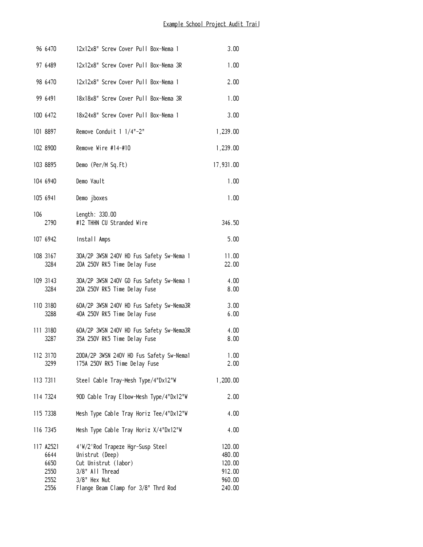# Example School Project Audit Trail

| 96 6470                                           | 12x12x8" Screw Cover Pull Box-Nema 1                                                                                                                  | 3.00                                                     |
|---------------------------------------------------|-------------------------------------------------------------------------------------------------------------------------------------------------------|----------------------------------------------------------|
| 97 6489                                           | 12x12x8" Screw Cover Pull Box-Nema 3R                                                                                                                 | 1.00                                                     |
| 98 6470                                           | 12x12x8" Screw Cover Pull Box-Nema 1                                                                                                                  | 2.00                                                     |
| 99 6491                                           | 18x18x8" Screw Cover Pull Box-Nema 3R                                                                                                                 | 1.00                                                     |
| 100 6472                                          | 18x24x8" Screw Cover Pull Box-Nema 1                                                                                                                  | 3.00                                                     |
| 101 8897                                          | Remove Conduit 1 1/4"-2"                                                                                                                              | 1,239.00                                                 |
| 102 8900                                          | Remove Wire #14-#10                                                                                                                                   | 1,239.00                                                 |
| 103 8895                                          | Demo (Per/M Sq.Ft)                                                                                                                                    | 17,931.00                                                |
| 104 6940                                          | Demo Vault                                                                                                                                            | 1.00                                                     |
| 105 6941                                          | Demo jboxes                                                                                                                                           | 1.00                                                     |
| 106                                               | Length: 330.00                                                                                                                                        |                                                          |
| 2790                                              | #12 THHN CU Stranded Wire                                                                                                                             | 346.50                                                   |
| 107 6942                                          | Install Amps                                                                                                                                          | 5.00                                                     |
| 108 3167<br>3284                                  | 30A/2P 3WSN 240V HD Fus Safety Sw-Nema 1<br>20A 250V RK5 Time Delay Fuse                                                                              | 11.00<br>22.00                                           |
| 109 3143<br>3284                                  | 30A/2P 3WSN 240V GD Fus Safety Sw-Nema 1<br>20A 250V RK5 Time Delay Fuse                                                                              | 4.00<br>8.00                                             |
| 110 3180<br>3288                                  | 60A/2P 3WSN 240V HD Fus Safety Sw-Nema3R<br>40A 250V RK5 Time Delay Fuse                                                                              | 3.00<br>6.00                                             |
| 111 3180<br>3287                                  | 60A/2P 3WSN 240V HD Fus Safety Sw-Nema3R<br>35A 250V RK5 Time Delay Fuse                                                                              | 4.00<br>8.00                                             |
| 112 3170<br>3299                                  | 200A/2P 3WSN 240V HD Fus Safety Sw-Nema1<br>175A 250V RK5 Time Delay Fuse                                                                             | 1.00<br>2.00                                             |
| 113 7311                                          | Steel Cable Tray-Mesh Type/4"Dx12"W                                                                                                                   | 1,200.00                                                 |
| 114 7324                                          | 90D Cable Tray Elbow-Mesh Type/4"Dx12"W                                                                                                               | 2.00                                                     |
| 115 7338                                          | Mesh Type Cable Tray Horiz Tee/4"Dx12"W                                                                                                               | 4.00                                                     |
| 116 7345                                          | Mesh Type Cable Tray Horiz X/4"Dx12"W                                                                                                                 | 4.00                                                     |
| 117 A2521<br>6644<br>6650<br>2550<br>2552<br>2556 | 4'W/2'Rod Trapeze Hgr-Susp Steel<br>Unistrut (Deep)<br>Cut Unistrut (labor)<br>3/8" All Thread<br>3/8" Hex Nut<br>Flange Beam Clamp for 3/8" Thrd Rod | 120.00<br>480.00<br>120.00<br>912.00<br>960.00<br>240.00 |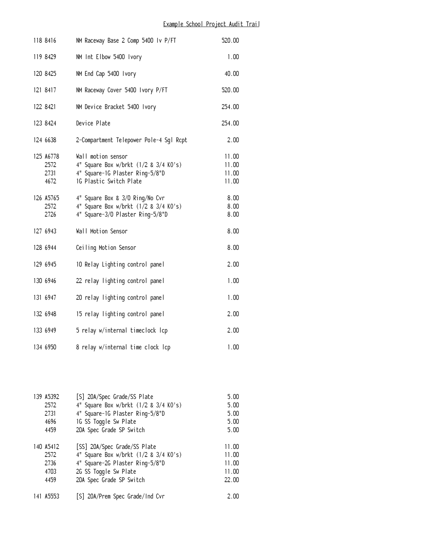# Example School Project Audit Trail

| 118 8416                          | NM Raceway Base 2 Comp 5400 Iv P/FT                                                                                       | 520.00                           |
|-----------------------------------|---------------------------------------------------------------------------------------------------------------------------|----------------------------------|
| 119 8429                          | NM Int Elbow 5400 Ivory                                                                                                   | 1.00                             |
| 120 8425                          | NM End Cap 5400 Ivory                                                                                                     | 40.00                            |
| 121 8417                          | NM Raceway Cover 5400 Ivory P/FT                                                                                          | 520.00                           |
| 122 8421                          | NM Device Bracket 5400 Ivory                                                                                              | 254.00                           |
| 123 8424                          | Device Plate                                                                                                              | 254.00                           |
| 124 6638                          | 2-Compartment Telepower Pole-4 Sql Rcpt                                                                                   | 2.00                             |
| 125 A6778<br>2572<br>2731<br>4672 | Wall motion sensor<br>4" Square Box w/brkt (1/2 & 3/4 KO's)<br>4" Square-1G Plaster Ring-5/8"D<br>1G Plastic Switch Plate | 11.00<br>11.00<br>11.00<br>11.00 |
| 126 A5765<br>2572<br>2726         | 4" Square Box & 3/0 Ring/No Cvr<br>4" Square Box w/brkt (1/2 & 3/4 K0's)<br>4" Square-3/0 Plaster Ring-5/8"D              | 8.00<br>8.00<br>8.00             |
| 127 6943                          | Wall Motion Sensor                                                                                                        | 8.00                             |
| 128 6944                          | Ceiling Motion Sensor                                                                                                     | 8.00                             |
| 129 6945                          | 10 Relay Lighting control panel                                                                                           | 2.00                             |
| 130 6946                          | 22 relay lighting control panel                                                                                           | 1.00                             |
| 131 6947                          | 20 relay lighting control panel                                                                                           | 1.00                             |
| 132 6948                          | 15 relay lighting control panel                                                                                           | 2.00                             |
| 133 6949                          | 5 relay w/internal timeclock lcp                                                                                          | 2.00                             |
| 134 6950                          | 8 relay w/internal time clock lcp                                                                                         | 1.00                             |

| 139 A5392 | [S] 20A/Spec Grade/SS Plate           | 5.00  |
|-----------|---------------------------------------|-------|
| 2572      | 4" Square Box w/brkt (1/2 & 3/4 K0's) | 5.00  |
| 2731      | 4" Square-1G Plaster Ring-5/8"D       | 5.00  |
| 4696      | 1G SS Toggle Sw Plate                 | 5.00  |
| 4459      | 20A Spec Grade SP Switch              | 5.00  |
| 140 A5412 | [SS] 20A/Spec Grade/SS Plate          | 11.00 |
| 2572      | 4" Square Box w/brkt (1/2 & 3/4 K0's) | 11.00 |
| 2736      | 4" Square-2G Plaster Ring-5/8"D       | 11.00 |
| 4703      | 2G SS Toqqle Sw Plate                 | 11.00 |
| 4459      | 20A Spec Grade SP Switch              | 22.00 |
| 141 A5553 | [S] 20A/Prem Spec Grade/Ind Cvr       | 2.00  |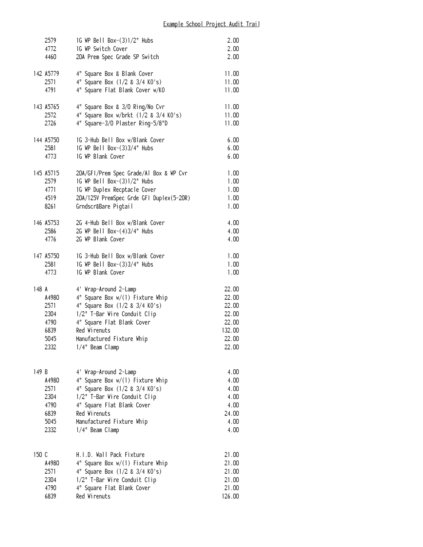| 2579      | 1G WP Bell Box-(3)1/2" Hubs              | 2.00   |
|-----------|------------------------------------------|--------|
| 4772      | 1G WP Switch Cover                       | 2.00   |
| 4460      | 20A Prem Spec Grade SP Switch            | 2.00   |
| 142 A5779 | 4" Square Box & Blank Cover              | 11.00  |
| 2571      | 4" Square Box (1/2 & 3/4 K0's)           | 11.00  |
| 4791      | 4" Square Flat Blank Cover w/KO          | 11.00  |
| 143 A5765 | 4" Square Box & 3/0 Ring/No Cvr          | 11.00  |
| 2572      | 4" Square Box w/brkt (1/2 & 3/4 KO's)    | 11.00  |
| 2726      | 4" Square-3/0 Plaster Ring-5/8"D         | 11.00  |
| 144 A5750 | 1G 3-Hub Bell Box w/Blank Cover          | 6.00   |
| 2581      | 1G WP Bell Box-(3)3/4" Hubs              | $6.00$ |
| 4773      | 1G WP Blank Cover                        | 6.00   |
| 145 A5715 | 20A/GFI/Prem Spec Grade/Al Box & WP Cvr  | 1.00   |
| 2579      | 1G WP Bell Box-(3)1/2" Hubs              | 1.00   |
| 4771      | 1G WP Duplex Recptacle Cover             | 1.00   |
| 4519      | 20A/125V PremSpec Grde GFI Duplex(5-20R) | 1.00   |
| 8261      | Grndscr&Bare Pigtail                     | 1.00   |
| 146 A5753 | 2G 4-Hub Bell Box w/Blank Cover          | 4.00   |
| 2586      | 2G WP Bell Box-(4)3/4" Hubs              | 4.00   |
| 4776      | 2G WP Blank Cover                        | 4.00   |
| 147 A5750 | 1G 3-Hub Bell Box w/Blank Cover          | 1.00   |
| 2581      | 1G WP Bell Box-(3)3/4" Hubs              | 1.00   |
| 4773      | 1G WP Blank Cover                        | 1.00   |
| 148 A     | 4' Wrap-Around 2-Lamp                    | 22.00  |
| A4980     | 4" Square Box w/(1) Fixture Whip         | 22.00  |
| 2571      | 4" Square Box (1/2 & 3/4 K0's)           | 22.00  |
| 2304      | 1/2" T-Bar Wire Conduit Clip             | 22.00  |
| 4790      | 4" Square Flat Blank Cover               | 22.00  |
| 6839      | Red Wirenuts                             | 132.00 |
| 5045      | Manufactured Fixture Whip                | 22.00  |
| 2332      | 1/4" Beam Clamp                          | 22.00  |
| 149 B     | 4' Wrap-Around 2-Lamp                    | 4.00   |
| A4980     | 4" Square Box w/(1) Fixture Whip         | 4.00   |
| 2571      | 4" Square Box (1/2 & 3/4 K0's)           | 4.00   |
| 2304      | 1/2" T-Bar Wire Conduit Clip             | 4.00   |
| 4790      | 4" Square Flat Blank Cover               | 4.00   |
| 6839      | Red Wirenuts                             | 24.00  |
| 5045      | Manufactured Fixture Whip                | 4.00   |
| 2332      | 1/4" Beam Clamp                          | 4.00   |
| 150 C     | H.I.D. Wall Pack Fixture                 | 21.00  |
| A4980     | 4" Square Box w/(1) Fixture Whip         | 21.00  |
| 2571      | 4" Square Box (1/2 & 3/4 K0's)           | 21.00  |
| 2304      | 1/2" T-Bar Wire Conduit Clip             | 21.00  |
| 4790      | 4" Square Flat Blank Cover               | 21.00  |
| 6839      | Red Wirenuts                             | 126.00 |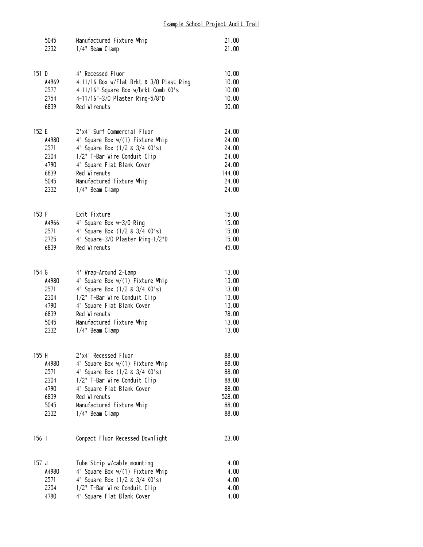| 5045             | Manufactured Fixture Whip                | 21.00  |
|------------------|------------------------------------------|--------|
| 2332             | 1/4" Beam Clamp                          | 21.00  |
| 151D             | 4' Recessed Fluor                        | 10.00  |
| A4969            | 4-11/16 Box w/Flat Brkt & 3/0 Plast Ring | 10.00  |
| 2577             | 4-11/16" Square Box w/brkt Comb KO's     | 10.00  |
| 2754             | 4-11/16"-3/0 Plaster Ring-5/8"D          | 10.00  |
| 6839             | Red Wirenuts                             | 30.00  |
| 152 E            | 2'x4' Surf Commercial Fluor              | 24.00  |
| A4980            | 4" Square Box w/(1) Fixture Whip         | 24.00  |
| 2571             | 4" Square Box (1/2 & 3/4 K0's)           | 24.00  |
| 2304             | 1/2" T-Bar Wire Conduit Clip             | 24.00  |
| 4790             | 4" Square Flat Blank Cover               | 24.00  |
| 6839             | Red Wirenuts                             | 144.00 |
| 5045             | Manufactured Fixture Whip                | 24.00  |
| 2332             | 1/4" Beam Clamp                          | 24.00  |
| 153 F            | Exit Fixture                             | 15.00  |
| A4966            | 4" Square Box w-3/0 Ring                 | 15.00  |
| 2571             | 4" Square Box (1/2 & 3/4 K0's)           | 15.00  |
| 2725             | 4" Square-3/0 Plaster Ring-1/2"D         | 15.00  |
| 6839             | Red Wirenuts                             | 45.00  |
| 154 <sub>6</sub> | 4' Wrap-Around 2-Lamp                    | 13.00  |
| A4980            | 4" Square Box w/(1) Fixture Whip         | 13.00  |
| 2571             | 4" Square Box (1/2 & 3/4 K0's)           | 13.00  |
| 2304             | 1/2" T-Bar Wire Conduit Clip             | 13.00  |
| 4790             | 4" Square Flat Blank Cover               | 13.00  |
| 6839             | Red Wirenuts                             | 78.00  |
| 5045             | Manufactured Fixture Whip                | 13.00  |
| 2332             | 1/4" Beam Clamp                          | 13.00  |
| 155 H            | 2'x4' Recessed Fluor                     | 88.00  |
| A4980            | 4" Square Box w/(1) Fixture Whip         | 88.00  |
| 2571             | 4" Square Box (1/2 & 3/4 K0's)           | 88.00  |
| 2304             | 1/2" T-Bar Wire Conduit Clip             | 88.00  |
| 4790             | 4" Square Flat Blank Cover               | 88.00  |
| 6839             | Red Wirenuts                             | 528.00 |
| 5045             | Manufactured Fixture Whip                | 88.00  |
| 2332             | 1/4" Beam Clamp                          | 88.00  |
| 156              | Conpact Fluor Recessed Downlight         | 23.00  |
| 157J             | Tube Strip w/cable mounting              | 4.00   |
| A4980            | 4" Square Box w/(1) Fixture Whip         | 4.00   |
| 2571             | 4" Square Box (1/2 & 3/4 K0's)           | 4.00   |
| 2304             | 1/2" T-Bar Wire Conduit Clip             | 4.00   |
| 4790             | 4" Square Flat Blank Cover               | 4.00   |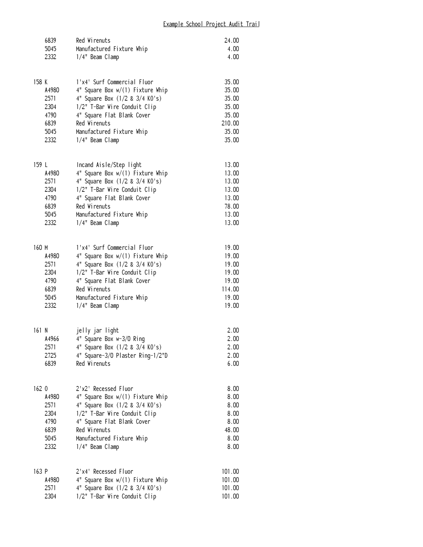| 6839  | Red Wirenuts                     | 24.00  |
|-------|----------------------------------|--------|
| 5045  | Manufactured Fixture Whip        | 4.00   |
| 2332  | 1/4" Beam Clamp                  | 4.00   |
| 158 K | 1'x4' Surf Commercial Fluor      | 35.00  |
| A4980 | 4" Square Box w/(1) Fixture Whip | 35.00  |
| 2571  | 4" Square Box (1/2 & 3/4 K0's)   | 35.00  |
| 2304  | 1/2" T-Bar Wire Conduit Clip     | 35.00  |
| 4790  | 4" Square Flat Blank Cover       | 35.00  |
| 6839  | Red Wirenuts                     | 210.00 |
| 5045  | Manufactured Fixture Whip        | 35.00  |
| 2332  | 1/4" Beam Clamp                  | 35.00  |
| 159 L | Incand Aisle/Step light          | 13.00  |
| A4980 | 4" Square Box w/(1) Fixture Whip | 13.00  |
| 2571  | 4" Square Box (1/2 & 3/4 K0's)   | 13.00  |
| 2304  | 1/2" T-Bar Wire Conduit Clip     | 13.00  |
| 4790  | 4" Square Flat Blank Cover       | 13.00  |
| 6839  | Red Wirenuts                     | 78.00  |
| 5045  | Manufactured Fixture Whip        | 13.00  |
| 2332  | 1/4" Beam Clamp                  | 13.00  |
| 160 M | 1'x4' Surf Commercial Fluor      | 19.00  |
| A4980 | 4" Square Box w/(1) Fixture Whip | 19.00  |
| 2571  | 4" Square Box (1/2 & 3/4 K0's)   | 19.00  |
| 2304  | 1/2" T-Bar Wire Conduit Clip     | 19.00  |
| 4790  | 4" Square Flat Blank Cover       | 19.00  |
| 6839  | Red Wirenuts                     | 114.00 |
| 5045  | Manufactured Fixture Whip        | 19.00  |
| 2332  | 1/4" Beam Clamp                  | 19.00  |
| 161 N | jelly jar light                  | 2.00   |
| A4966 | 4" Square Box w-3/0 Ring         | 2.00   |
| 2571  | 4" Square Box (1/2 & 3/4 KO's)   | 2.00   |
| 2725  | 4" Square-3/0 Plaster Ring-1/2"D | 2.00   |
| 6839  | Red Wirenuts                     | 6.00   |
| 1620  | 2'x2' Recessed Fluor             | 8.00   |
| A4980 | 4" Square Box w/(1) Fixture Whip | 8.00   |
| 2571  | 4" Square Box (1/2 & 3/4 K0's)   | 8.00   |
| 2304  | 1/2" T-Bar Wire Conduit Clip     | 8.00   |
| 4790  | 4" Square Flat Blank Cover       | 8.00   |
| 6839  | Red Wirenuts                     | 48.00  |
| 5045  | Manufactured Fixture Whip        | 8.00   |
| 2332  | 1/4" Beam Clamp                  | 8.00   |
| 163 P | 2'x4' Recessed Fluor             | 101.00 |
| A4980 | 4" Square Box w/(1) Fixture Whip | 101.00 |
| 2571  | 4" Square Box (1/2 & 3/4 K0's)   | 101.00 |
| 2304  | 1/2" T-Bar Wire Conduit Clip     | 101.00 |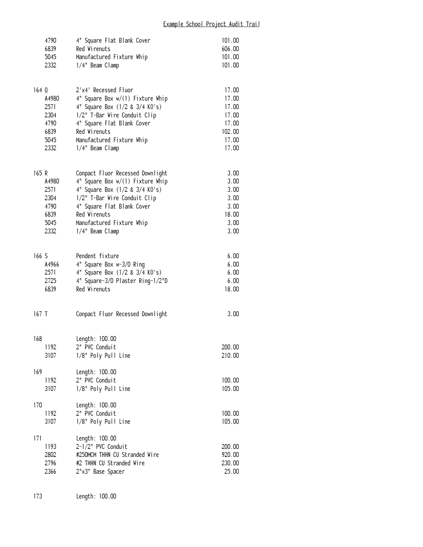| 4790<br>6839<br>5045<br>2332                                              | 4" Square Flat Blank Cover<br>Red Wirenuts<br>Manufactured Fixture Whip<br>1/4" Beam Clamp                                                                                                                                           | 101.00<br>606.00<br>101.00<br>101.00                                  |
|---------------------------------------------------------------------------|--------------------------------------------------------------------------------------------------------------------------------------------------------------------------------------------------------------------------------------|-----------------------------------------------------------------------|
| 164 <sub>Q</sub><br>A4980<br>2571<br>2304<br>4790<br>6839<br>5045<br>2332 | 2'x4' Recessed Fluor<br>4" Square Box w/(1) Fixture Whip<br>4" Square Box (1/2 & 3/4 K0's)<br>1/2" T-Bar Wire Conduit Clip<br>4" Square Flat Blank Cover<br>Red Wirenuts<br>Manufactured Fixture Whip<br>1/4" Beam Clamp             | 17.00<br>17.00<br>17.00<br>17.00<br>17.00<br>102.00<br>17.00<br>17.00 |
| 165 R<br>A4980<br>2571<br>2304<br>4790<br>6839<br>5045<br>2332            | Conpact Fluor Recessed Downlight<br>4" Square Box w/(1) Fixture Whip<br>4" Square Box (1/2 & 3/4 K0's)<br>1/2" T-Bar Wire Conduit Clip<br>4" Square Flat Blank Cover<br>Red Wirenuts<br>Manufactured Fixture Whip<br>1/4" Beam Clamp | 3.00<br>3.00<br>3.00<br>3.00<br>3.00<br>18.00<br>3.00<br>3.00         |
| 166 S<br>A4966<br>2571<br>2725<br>6839                                    | Pendent fixture<br>4" Square Box w-3/0 Ring<br>4" Square Box (1/2 & 3/4 K0's)<br>4" Square-3/0 Plaster Ring-1/2"D<br>Red Wirenuts                                                                                                    | 6.00<br>6.00<br>6.00<br>6.00<br>18.00                                 |
| $167$ T                                                                   | Conpact Fluor Recessed Downlight                                                                                                                                                                                                     | 3.00                                                                  |
| 168<br>1192<br>3107                                                       | Length: 100.00<br>2" PVC Conduit<br>1/8" Poly Pull Line                                                                                                                                                                              | 200.00<br>210.00                                                      |
| 169<br>1192<br>3107                                                       | Length: 100.00<br>2" PVC Conduit<br>1/8" Poly Pull Line                                                                                                                                                                              | 100.00<br>105.00                                                      |
| 170<br>1192<br>3107                                                       | Length: 100.00<br>2" PVC Conduit<br>1/8" Poly Pull Line                                                                                                                                                                              | 100.00<br>105.00                                                      |
| 171<br>1193<br>2802<br>2796<br>2366                                       | Length: 100.00<br>2-1/2" PVC Conduit<br>#250MCM THHN CU Stranded Wire<br>#2 THHN CU Stranded Wire<br>2"x3" Base Spacer                                                                                                               | 200.00<br>920.00<br>230.00<br>25.00                                   |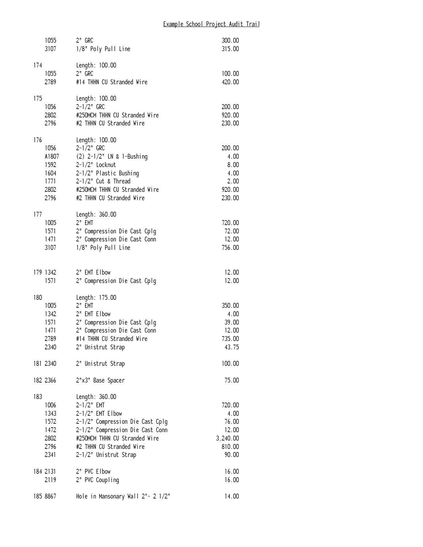| 1055<br>3107  | $2"$ GRC<br>1/8" Poly Pull Line                           | 300.00<br>315.00 |
|---------------|-----------------------------------------------------------|------------------|
| 174           | Length: 100.00                                            |                  |
| 1055          | $2"$ GRC                                                  | 100.00           |
| 2789          | #14 THHN CU Stranded Wire                                 | 420.00           |
| 175           | Length: 100.00                                            |                  |
| 1056          | $2 - 1/2"$ GRC                                            | 200.00           |
| 2802          | #250MCM THHN CU Stranded Wire<br>#2 THHN CU Stranded Wire | 920.00           |
| 2796          |                                                           | 230.00           |
| 176           | Length: 100.00                                            |                  |
| 1056          | $2 - 1/2"$ GRC                                            | 200.00           |
| A1807<br>1592 | (2) 2-1/2" LN & 1-Bushing                                 | 4.00             |
| 1604          | 2-1/2" Locknut<br>2-1/2" Plastic Bushing                  | 8.00<br>4.00     |
| 1771          | 2-1/2" Cut & Thread                                       | 2.00             |
| 2802          | #250MCM THHN CU Stranded Wire                             | 920.00           |
| 2796          | #2 THHN CU Stranded Wire                                  | 230.00           |
| 177           | Length: 360.00                                            |                  |
| 1005          | 2" EMT                                                    | 720.00           |
| 1571          | 2" Compression Die Cast Cplg                              | 72.00            |
| 1471          | 2" Compression Die Cast Conn                              | 12.00            |
| 3107          | 1/8" Poly Pull Line                                       | 756.00           |
| 179 1342      | 2" EMT Elbow                                              | 12.00            |
| 1571          | 2" Compression Die Cast Cplg                              | 12.00            |
| 180           | Length: 175.00                                            |                  |
| 1005          | 2" EMT                                                    | 350.00           |
| 1342          | 2" EMT Elbow                                              | 4.00             |
| 1571          | 2" Compression Die Cast Cplg                              | 39.00            |
| 1471          | 2" Compression Die Cast Conn                              | 12.00            |
| 2789          | #14 THHN CU Stranded Wire                                 | 735.00           |
| 2340          | 2" Unistrut Strap                                         | 43.75            |
| 181 2340      | 2" Unistrut Strap                                         | 100.00           |
| 182 2366      | 2"x3" Base Spacer                                         | 75.00            |
| 183           | Length: 360.00                                            |                  |
| 1006          | $2 - 1/2"$ EMT                                            | 720.00           |
| 1343          | 2-1/2" EMT Elbow                                          | 4.00             |
| 1572          | 2-1/2" Compression Die Cast Cplg                          | 76.00            |
| 1472          | 2-1/2" Compression Die Cast Conn                          | 12.00            |
| 2802          | #250MCM THHN CU Stranded Wire                             | 3,240.00         |
| 2796<br>2341  | #2 THHN CU Stranded Wire                                  | 810.00<br>90.00  |
|               | 2-1/2" Unistrut Strap                                     |                  |
| 184 2131      | 2" PVC Elbow                                              | 16.00            |
| 2119          | 2" PVC Coupling                                           | 16.00            |
| 185 8867      | Hole in Mansonary Wall 2"- 2 1/2"                         | 14.00            |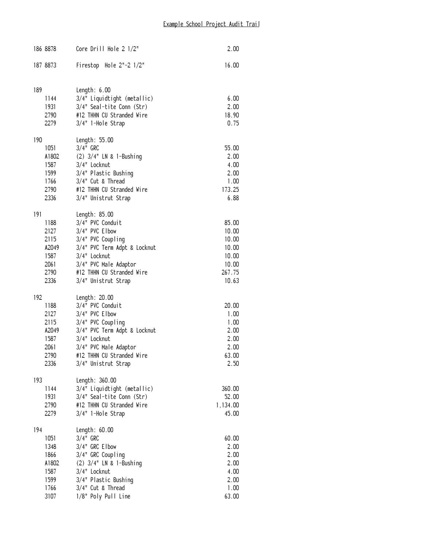| 186 8878                                                             | Core Drill Hole 2 1/2"                                                                                                                                                                                | 2.00                                                                  |
|----------------------------------------------------------------------|-------------------------------------------------------------------------------------------------------------------------------------------------------------------------------------------------------|-----------------------------------------------------------------------|
| 187 8873                                                             | Firestop Hole 2"-2 1/2"                                                                                                                                                                               | 16.00                                                                 |
| 189<br>1144<br>1931<br>2790<br>2279                                  | Length: 6.00<br>3/4" Liquidtight (metallic)<br>3/4" Seal-tite Conn (Str)<br>#12 THHN CU Stranded Wire<br>3/4" 1-Hole Strap                                                                            | 6.00<br>2.00<br>18.90<br>0.75                                         |
| 190<br>1051<br>A1802<br>1587<br>1599<br>1766<br>2790<br>2336         | Length: 55.00<br>$3/4"$ GRC<br>(2) 3/4" LN & 1-Bushing<br>3/4" Locknut<br>3/4" Plastic Bushing<br>3/4" Cut & Thread<br>#12 THHN CU Stranded Wire<br>3/4" Unistrut Strap                               | 55.00<br>2.00<br>4.00<br>2.00<br>1.00<br>173.25<br>6.88               |
| 191<br>1188<br>2127<br>2115<br>A2049<br>1587<br>2061<br>2790<br>2336 | Length: 85.00<br>3/4" PVC Conduit<br>3/4" PVC Elbow<br>3/4" PVC Coupling<br>3/4" PVC Term Adpt & Locknut<br>3/4" Locknut<br>3/4" PVC Male Adaptor<br>#12 THHN CU Stranded Wire<br>3/4" Unistrut Strap | 85.00<br>10.00<br>10.00<br>10.00<br>10.00<br>10.00<br>267.75<br>10.63 |
| 192<br>1188<br>2127<br>2115<br>A2049<br>1587<br>2061<br>2790<br>2336 | Length: 20.00<br>3/4" PVC Conduit<br>3/4" PVC Elbow<br>3/4" PVC Coupling<br>3/4" PVC Term Adpt & Locknut<br>3/4" Locknut<br>3/4" PVC Male Adaptor<br>#12 THHN CU Stranded Wire<br>3/4" Unistrut Strap | 20.00<br>1.00<br>1.00<br>2.00<br>2.00<br>2.00<br>63.00<br>2.50        |
| 193<br>1144<br>1931<br>2790<br>2279                                  | Length: 360.00<br>3/4" Liquidtight (metallic)<br>3/4" Seal-tite Conn (Str)<br>#12 THHN CU Stranded Wire<br>3/4" 1-Hole Strap                                                                          | 360.00<br>52.00<br>1,134.00<br>45.00                                  |
| 194<br>1051<br>1348<br>1866<br>A1802<br>1587<br>1599<br>1766<br>3107 | Length: 60.00<br>$3/4"$ GRC<br>3/4" GRC Elbow<br>3/4" GRC Coupling<br>(2) 3/4" LN & 1-Bushing<br>3/4" Locknut<br>3/4" Plastic Bushing<br>3/4" Cut & Thread<br>1/8" Poly Pull Line                     | 60.00<br>2.00<br>2.00<br>2.00<br>4.00<br>2.00<br>1.00<br>63.00        |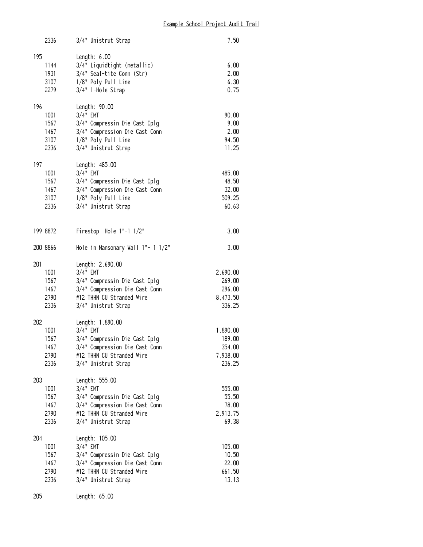| 2336     | 3/4" Unistrut Strap               | 7.50     |
|----------|-----------------------------------|----------|
| 195      | Length: 6.00                      |          |
| 1144     | 3/4" Liquidtight (metallic)       | 6.00     |
| 1931     | 3/4" Seal-tite Conn (Str)         | 2.00     |
| 3107     | 1/8" Poly Pull Line               | 6.30     |
| 2279     | 3/4" 1-Hole Strap                 | 0.75     |
| 196      | Length: 90.00                     |          |
| 1001     | $3/4"$ EMT                        | 90.00    |
| 1567     | 3/4" Compressin Die Cast Cplg     | 9.00     |
| 1467     | 3/4" Compression Die Cast Conn    | 2.00     |
| 3107     | 1/8" Poly Pull Line               | 94.50    |
| 2336     | 3/4" Unistrut Strap               | 11.25    |
| 197      | Length: 485.00                    |          |
| 1001     | $3/4"$ EMT                        | 485.00   |
| 1567     | 3/4" Compressin Die Cast Cplq     | 48.50    |
| 1467     | 3/4" Compression Die Cast Conn    | 32.00    |
| 3107     | 1/8" Poly Pull Line               | 509.25   |
| 2336     | 3/4" Unistrut Strap               | 60.63    |
| 199 8872 | Firestop Hole 1"-1 1/2"           | 3.00     |
|          |                                   |          |
| 200 8866 | Hole in Mansonary Wall 1"- 1 1/2" | 3.00     |
| 201      | Length: 2,690.00                  |          |
| 1001     | $3/4"$ EMT                        | 2,690.00 |
| 1567     | 3/4" Compressin Die Cast Cplg     | 269.00   |
| 1467     | 3/4" Compression Die Cast Conn    | 296.00   |
| 2790     | #12 THHN CU Stranded Wire         | 8,473.50 |
| 2336     | 3/4" Unistrut Strap               | 336.25   |
| 202      | Length: 1,890.00                  |          |
| 1001     | $3/4"$ EMT                        | 1,890.00 |
| 1567     | 3/4" Compressin Die Cast Cplq     | 189.00   |
| 1467     | 3/4" Compression Die Cast Conn    | 354.00   |
| 2790     | #12 THHN CU Stranded Wire         | 7,938.00 |
| 2336     | 3/4" Unistrut Strap               | 236.25   |
| 203      | Length: 555.00                    |          |
| 1001     | $3/4"$ EMT                        | 555.00   |
| 1567     | 3/4" Compressin Die Cast Cplq     | 55.50    |
| 1467     | 3/4" Compression Die Cast Conn    | 78.00    |
| 2790     | #12 THHN CU Stranded Wire         | 2,913.75 |
| 2336     | 3/4" Unistrut Strap               | 69.38    |
| 204      | Length: 105.00                    |          |
| 1001     | $3/4"$ EMT                        | 105.00   |
| 1567     | 3/4" Compressin Die Cast Cplg     | 10.50    |
| 1467     | 3/4" Compression Die Cast Conn    | 22.00    |
| 2790     | #12 THHN CU Stranded Wire         | 661.50   |
| 2336     | 3/4" Unistrut Strap               | 13.13    |
| 205      | Length: 65.00                     |          |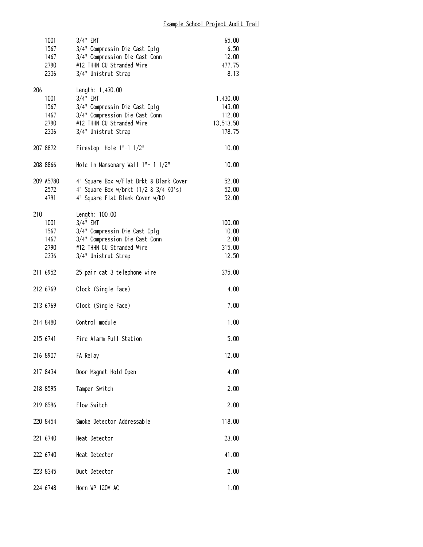|     | 1001      | $3/4"$ EMT                              | 65.00     |
|-----|-----------|-----------------------------------------|-----------|
|     | 1567      | 3/4" Compressin Die Cast Cplg           | 6.50      |
|     | 1467      | 3/4" Compression Die Cast Conn          | 12.00     |
|     | 2790      | #12 THHN CU Stranded Wire               | 477.75    |
|     | 2336      | 3/4" Unistrut Strap                     | 8.13      |
| 206 |           | Length: 1,430.00                        |           |
|     | 1001      | $3/4"$ EMT                              | 1,430.00  |
|     | 1567      | 3/4" Compressin Die Cast Cplg           | 143.00    |
|     | 1467      | 3/4" Compression Die Cast Conn          | 112.00    |
|     | 2790      | #12 THHN CU Stranded Wire               | 13,513.50 |
|     | 2336      | 3/4" Unistrut Strap                     | 178.75    |
|     | 207 8872  | Firestop Hole 1"-1 1/2"                 | 10.00     |
|     | 208 8866  | Hole in Mansonary Wall 1"- 1 1/2"       | 10.00     |
|     | 209 A5780 | 4" Square Box w/Flat Brkt & Blank Cover | 52.00     |
|     | 2572      | 4" Square Box w/brkt (1/2 & 3/4 K0's)   | 52.00     |
|     | 4791      | 4" Square Flat Blank Cover w/KO         | 52.00     |
| 210 |           | Length: 100.00                          |           |
|     | 1001      | $3/4"$ EMT                              | 100.00    |
|     | 1567      | 3/4" Compressin Die Cast Cplg           | 10.00     |
|     | 1467      | 3/4" Compression Die Cast Conn          | 2.00      |
|     | 2790      | #12 THHN CU Stranded Wire               | 315.00    |
|     | 2336      | 3/4" Unistrut Strap                     | 12.50     |
|     | 211 6952  | 25 pair cat 3 telephone wire            | 375.00    |
|     | 212 6769  | Clock (Single Face)                     | 4.00      |
|     | 213 6769  | Clock (Single Face)                     | 7.00      |
|     | 214 8480  | Control module                          | 1.00      |
|     | 215 6741  | Fire Alarm Pull Station                 | 5.00      |
|     | 216 8907  | FA Relay                                | 12.00     |
|     | 217 8434  | Door Magnet Hold Open                   | 4.00      |
|     | 218 8595  | Tamper Switch                           | 2.00      |
|     | 219 8596  | Flow Switch                             | 2.00      |
|     | 220 8454  | Smoke Detector Addressable              | 118.00    |
|     | 221 6740  | Heat Detector                           | 23.00     |
|     | 222 6740  | Heat Detector                           | 41.00     |
|     | 223 8345  | Duct Detector                           | 2.00      |
|     | 224 6748  | Horn WP 120V AC                         | 1.00      |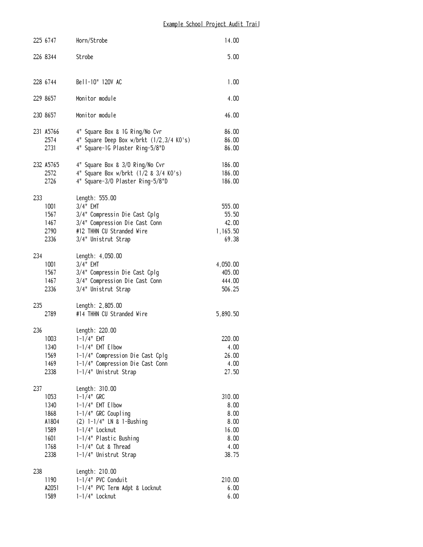| 225 6747                                                             | Horn/Strobe                                                                                                                                                                                              | 14.00                                                            |
|----------------------------------------------------------------------|----------------------------------------------------------------------------------------------------------------------------------------------------------------------------------------------------------|------------------------------------------------------------------|
| 226 8344                                                             | Strobe                                                                                                                                                                                                   | 5.00                                                             |
| 228 6744                                                             | Bell-10" 120V AC                                                                                                                                                                                         | 1.00                                                             |
| 229 8657                                                             | Monitor module                                                                                                                                                                                           | 4.00                                                             |
| 230 8657                                                             | Monitor module                                                                                                                                                                                           | 46.00                                                            |
| 231 A5766<br>2574<br>2731                                            | 4" Square Box & 1G Ring/No Cvr<br>4" Square Deep Box w/brkt (1/2,3/4 KO's)<br>4" Square-1G Plaster Ring-5/8"D                                                                                            | 86.00<br>86.00<br>86.00                                          |
| 232 A5765<br>2572<br>2726                                            | 4" Square Box & 3/0 Ring/No Cvr<br>4" Square Box w/brkt (1/2 & 3/4 K0's)<br>4" Square-3/0 Plaster Ring-5/8"D                                                                                             | 186.00<br>186.00<br>186.00                                       |
| 233<br>1001<br>1567<br>1467<br>2790<br>2336                          | Length: 555.00<br>$3/4"$ EMT<br>3/4" Compressin Die Cast Cplg<br>3/4" Compression Die Cast Conn<br>#12 THHN CU Stranded Wire<br>3/4" Unistrut Strap                                                      | 555.00<br>55.50<br>42.00<br>1,165.50<br>69.38                    |
| 234<br>1001<br>1567<br>1467<br>2336                                  | Length: 4,050.00<br>3/4" EMT<br>3/4" Compressin Die Cast Cplg<br>3/4" Compression Die Cast Conn<br>3/4" Unistrut Strap                                                                                   | 4,050.00<br>405.00<br>444.00<br>506.25                           |
| 235<br>2789                                                          | Length: 2,805.00<br>#14 THHN CU Stranded Wire                                                                                                                                                            | 5,890.50                                                         |
| 236<br>1003<br>1340<br>1569<br>1469<br>2338                          | Length: 220.00<br>$1 - 1/4"$ EMT<br>$1-1/4"$ EMT Elbow<br>1-1/4" Compression Die Cast Cplg<br>1-1/4" Compression Die Cast Conn<br>1-1/4" Unistrut Strap                                                  | 220.00<br>4.00<br>26.00<br>4.00<br>27.50                         |
| 237<br>1053<br>1340<br>1868<br>A1804<br>1589<br>1601<br>1768<br>2338 | Length: 310.00<br>$1 - 1/4"$ GRC<br>1-1/4" EMT Elbow<br>1-1/4" GRC Coupling<br>(2) 1-1/4" LN & 1-Bushing<br>$1-1/4"$ Locknut<br>1-1/4" Plastic Bushing<br>$1-1/4"$ Cut & Thread<br>1-1/4" Unistrut Strap | 310.00<br>8.00<br>8.00<br>8.00<br>16.00<br>8.00<br>4.00<br>38.75 |
| 238<br>1190<br>A2051<br>1589                                         | Length: 210.00<br>1-1/4" PVC Conduit<br>1-1/4" PVC Term Adpt & Locknut<br>$1-1/4"$ Locknut                                                                                                               | 210.00<br>$6.00$<br>6.00                                         |